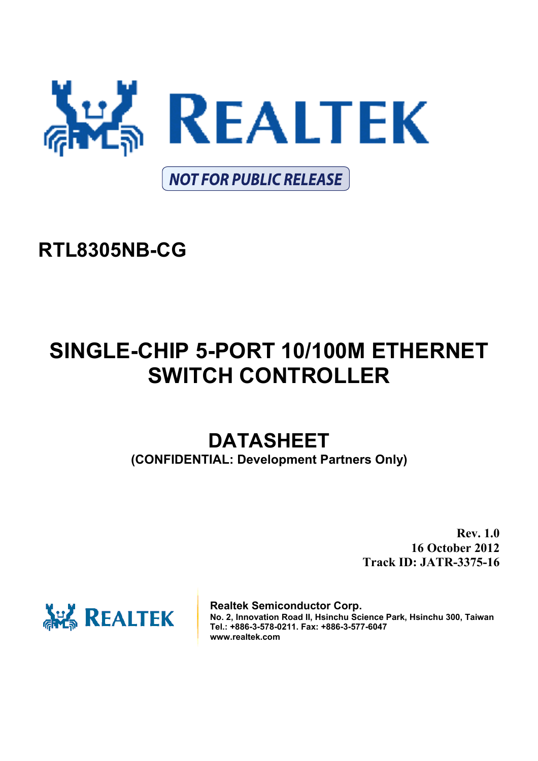

# **RTL8305NB-CG**

# **SINGLE-CHIP 5-PORT 10/100M ETHERNET SWITCH CONTROLLER**

# **DATASHEET**

**(CONFIDENTIAL: Development Partners Only)** 

**Rev. 1.0 16 October 2012 Track ID: JATR-3375-16** 



**Realtek Semiconductor Corp. No. 2, Innovation Road II, Hsinchu Science Park, Hsinchu 300, Taiwan Tel.: +886-3-578-0211. Fax: +886-3-577-6047 www.realtek.com**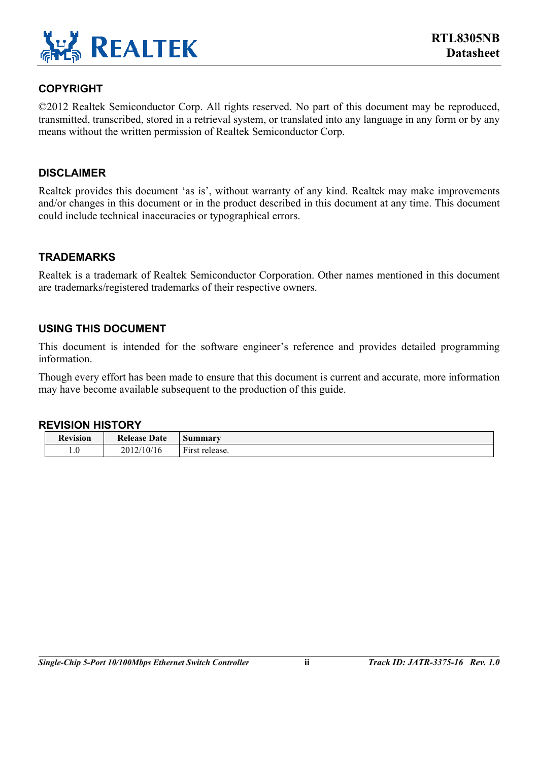

#### **COPYRIGHT**

©2012 Realtek Semiconductor Corp. All rights reserved. No part of this document may be reproduced, transmitted, transcribed, stored in a retrieval system, or translated into any language in any form or by any means without the written permission of Realtek Semiconductor Corp.

#### **DISCLAIMER**

Realtek provides this document 'as is', without warranty of any kind. Realtek may make improvements and/or changes in this document or in the product described in this document at any time. This document could include technical inaccuracies or typographical errors.

#### **TRADEMARKS**

Realtek is a trademark of Realtek Semiconductor Corporation. Other names mentioned in this document are trademarks/registered trademarks of their respective owners.

#### **USING THIS DOCUMENT**

This document is intended for the software engineer's reference and provides detailed programming information.

Though every effort has been made to ensure that this document is current and accurate, more information may have become available subsequent to the production of this guide.

#### **REVISION HISTORY**

| $\mathbf{r}$<br><b>cevision</b> | Date<br>Release | ımmarv                               |
|---------------------------------|-----------------|--------------------------------------|
| 1.0                             | 2012/10/16      | $\blacksquare$<br>F irst<br>release. |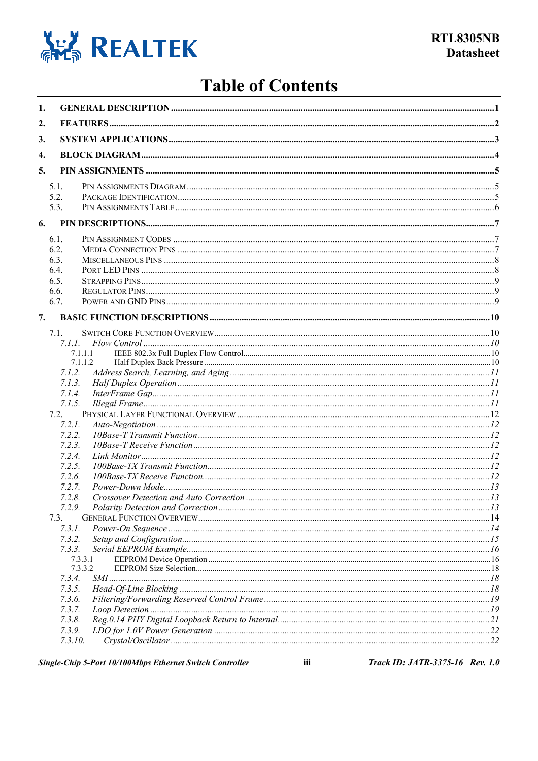

## **Table of Contents**

| 1. |                    |               |  |
|----|--------------------|---------------|--|
| 2. |                    |               |  |
| 3. |                    |               |  |
| 4. |                    |               |  |
|    |                    |               |  |
| 5. |                    |               |  |
|    | 5.1.               |               |  |
|    | 5.2.<br>5.3.       |               |  |
|    |                    |               |  |
| 6. |                    |               |  |
|    | 6.1.               |               |  |
|    | 6.2.               |               |  |
|    | 6.3.               |               |  |
|    | 6.4.<br>6.5.       |               |  |
|    | 6.6.               |               |  |
|    | 6.7.               |               |  |
|    |                    |               |  |
| 7. |                    |               |  |
|    | 7.1.               |               |  |
|    |                    |               |  |
|    | 7.1.1.1<br>7.1.1.2 |               |  |
|    | 7.1.2.             |               |  |
|    | 7.1.3.             |               |  |
|    | 7.1.4.             |               |  |
|    | 7.1.5.             |               |  |
|    | 7.2.               |               |  |
|    | 7.2.1.             |               |  |
|    | 7.2.2.             |               |  |
|    | 7.2.3.             |               |  |
|    | 7.2.4.             |               |  |
|    | 7.2.5.<br>7.2.6.   |               |  |
|    | 7.2.7.             |               |  |
|    | 7.2.8.             |               |  |
|    | 7.2.9.             |               |  |
|    | 7.3.               |               |  |
|    | 7.3.1.             |               |  |
|    | 7.3.2.             |               |  |
|    | 7.3.3.             |               |  |
|    | 7.3.3.1<br>7.3.3.2 |               |  |
|    | 7.3.4.             |               |  |
|    | 7.3.5.             |               |  |
|    | 7.3.6.             |               |  |
|    | 7.3.7.             |               |  |
|    | 7.3.8.             |               |  |
|    | 7.3.9.             |               |  |
|    | 7.3.10.            | Crystal/O. 22 |  |

Single-Chip 5-Port 10/100Mbps Ethernet Switch Controller

iii

Track ID: JATR-3375-16 Rev. 1.0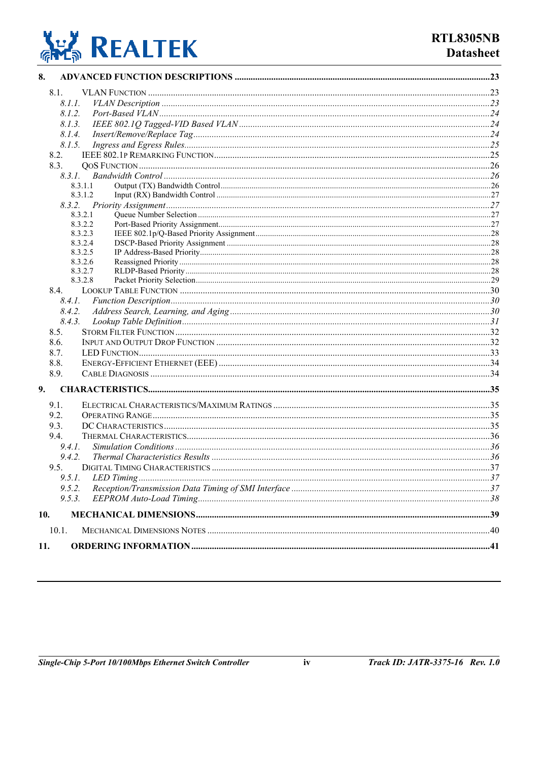

| 8.                                          |     |
|---------------------------------------------|-----|
| 8.1.                                        |     |
| 8.1.1.                                      |     |
| 8.1.2.                                      |     |
| 8.1.3.                                      |     |
| 8.1.4.                                      |     |
| 8.1.5.                                      |     |
| 8.2.                                        |     |
| 8.3.                                        |     |
|                                             |     |
| 8.3.1.1                                     |     |
| 8.3.1.2                                     |     |
|                                             |     |
| 8.3.2.1                                     |     |
| 8.3.2.2                                     |     |
| 8.3.2.3                                     |     |
| 8.3.2.4                                     |     |
| 8.3.2.5<br>8.3.2.6                          |     |
| 8.3.2.7                                     |     |
| 8.3.2.8                                     |     |
| 8.4.                                        |     |
|                                             |     |
| 8.4.2.                                      |     |
| 8.4.3.                                      |     |
| 8.5.                                        |     |
| 8.6.                                        |     |
| 8.7.                                        |     |
| 8.8.                                        |     |
| 8.9.                                        |     |
| 9.                                          |     |
| 9.1.                                        |     |
| 9.2.                                        |     |
| 9.3.                                        |     |
| 9.4.                                        |     |
| 9.4.1.                                      |     |
| 9.4.2.                                      |     |
| 95<br><b>DIGITAL TIMING CHARACTERISTICS</b> | .37 |
| 9.5.1.                                      |     |
| 9.5.2.                                      |     |
| 9.5.3.                                      |     |
| 10.                                         |     |
| 10.1.                                       |     |
|                                             |     |
| 11.                                         |     |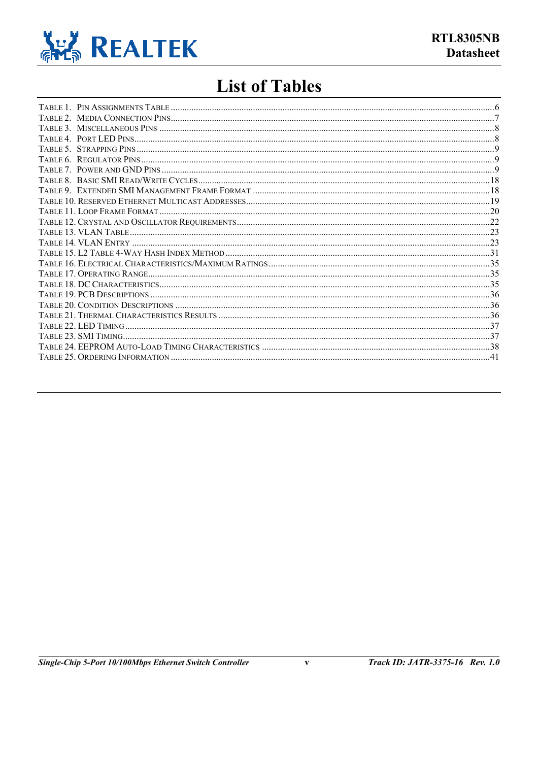

## **List of Tables**

 $\mathbf{v}$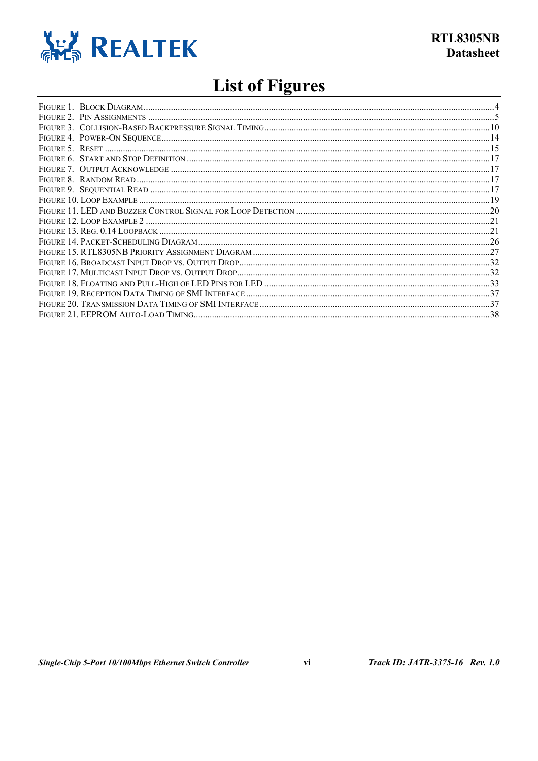

# **List of Figures**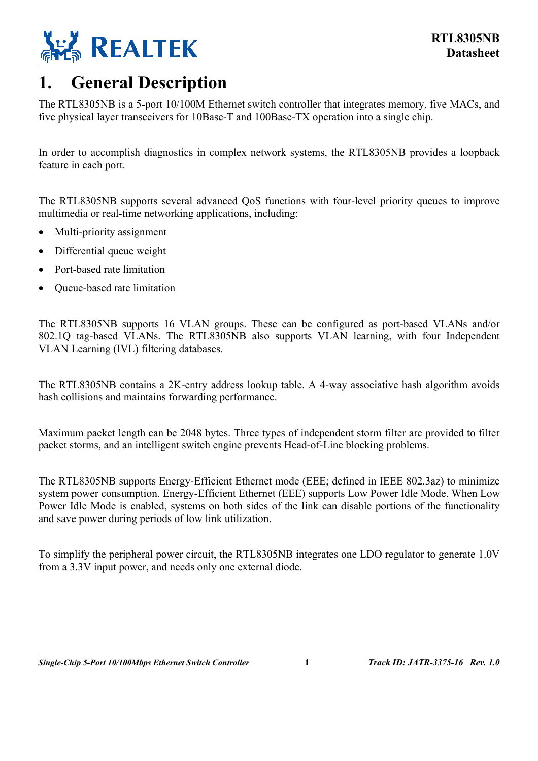

## <span id="page-6-0"></span>**1. General Description**

The RTL8305NB is a 5-port 10/100M Ethernet switch controller that integrates memory, five MACs, and five physical layer transceivers for 10Base-T and 100Base-TX operation into a single chip.

In order to accomplish diagnostics in complex network systems, the RTL8305NB provides a loopback feature in each port.

The RTL8305NB supports several advanced QoS functions with four-level priority queues to improve multimedia or real-time networking applications, including:

- Multi-priority assignment
- Differential queue weight
- Port-based rate limitation
- Queue-based rate limitation

The RTL8305NB supports 16 VLAN groups. These can be configured as port-based VLANs and/or 802.1Q tag-based VLANs. The RTL8305NB also supports VLAN learning, with four Independent VLAN Learning (IVL) filtering databases.

The RTL8305NB contains a 2K-entry address lookup table. A 4-way associative hash algorithm avoids hash collisions and maintains forwarding performance.

Maximum packet length can be 2048 bytes. Three types of independent storm filter are provided to filter packet storms, and an intelligent switch engine prevents Head-of-Line blocking problems.

The RTL8305NB supports Energy-Efficient Ethernet mode (EEE; defined in IEEE 802.3az) to minimize system power consumption. Energy-Efficient Ethernet (EEE) supports Low Power Idle Mode. When Low Power Idle Mode is enabled, systems on both sides of the link can disable portions of the functionality and save power during periods of low link utilization.

To simplify the peripheral power circuit, the RTL8305NB integrates one LDO regulator to generate 1.0V from a 3.3V input power, and needs only one external diode.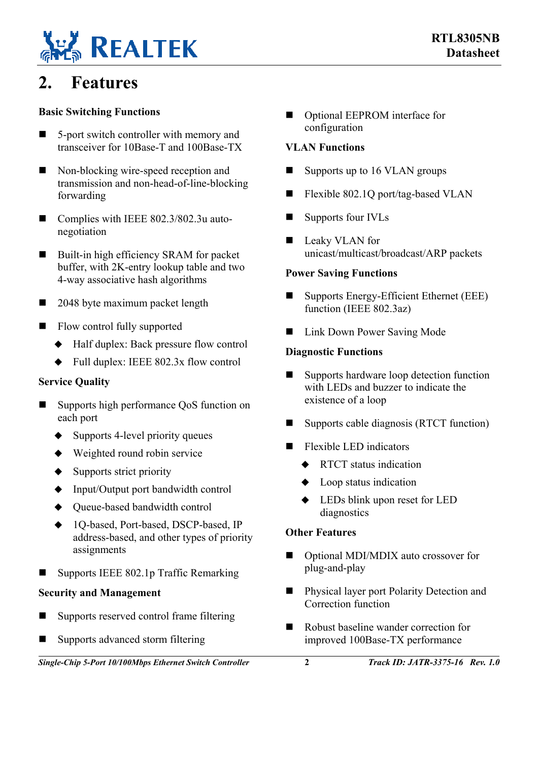

## <span id="page-7-0"></span>**2. Features**

#### **Basic Switching Functions**

- 5-port switch controller with memory and transceiver for 10Base-T and 100Base-TX
- Non-blocking wire-speed reception and transmission and non-head-of-line-blocking forwarding
- Complies with IEEE 802.3/802.3u autonegotiation
- Built-in high efficiency SRAM for packet buffer, with 2K-entry lookup table and two 4-way associative hash algorithms
- 2048 byte maximum packet length
- Flow control fully supported
	- ◆ Half duplex: Back pressure flow control
	- $\blacklozenge$  Full duplex: IEEE 802.3x flow control

#### **Service Quality**

- Supports high performance QoS function on each port
	- $\triangle$  Supports 4-level priority queues
	- ◆ Weighted round robin service
	- $\triangleleft$  Supports strict priority
	- ◆ Input/Output port bandwidth control
	- ◆ Queue-based bandwidth control
	- 1Q-based, Port-based, DSCP-based, IP address-based, and other types of priority assignments
- Supports IEEE 802.1p Traffic Remarking

#### **Security and Management**

- Supports reserved control frame filtering
- Supports advanced storm filtering

*Single-Chip 5-Port 10/100Mbps Ethernet Switch Controller* **2** *Track ID: JATR-3375-16 Rev. 1.0*

■ Optional EEPROM interface for configuration

#### **VLAN Functions**

- $\blacksquare$  Supports up to 16 VLAN groups
- Flexible 802.1Q port/tag-based VLAN
- Supports four IVLs
- **Leaky VLAN** for unicast/multicast/broadcast/ARP packets

#### **Power Saving Functions**

- Supports Energy-Efficient Ethernet (EEE) function (IEEE 802.3az)
- **Link Down Power Saving Mode**

#### **Diagnostic Functions**

- Supports hardware loop detection function with LEDs and buzzer to indicate the existence of a loop
- Supports cable diagnosis (RTCT function)
- **Flexible LED indicators** 
	- RTCT status indication
	- Loop status indication
	- LEDs blink upon reset for LED diagnostics

#### **Other Features**

- Optional MDI/MDIX auto crossover for plug-and-play
- **Physical layer port Polarity Detection and** Correction function
- Robust baseline wander correction for improved 100Base-TX performance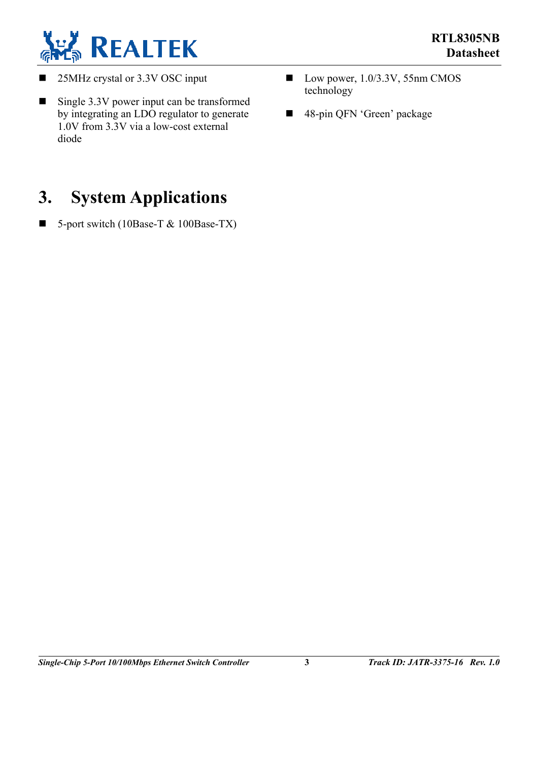

- 25MHz crystal or 3.3V OSC input
- Single 3.3V power input can be transformed by integrating an LDO regulator to generate 1.0V from 3.3V via a low-cost external diode

## <span id="page-8-0"></span>**3. System Applications**

5-port switch (10Base-T  $&$  100Base-TX)

- $\blacksquare$  Low power, 1.0/3.3V, 55nm CMOS technology
- 48-pin QFN 'Green' package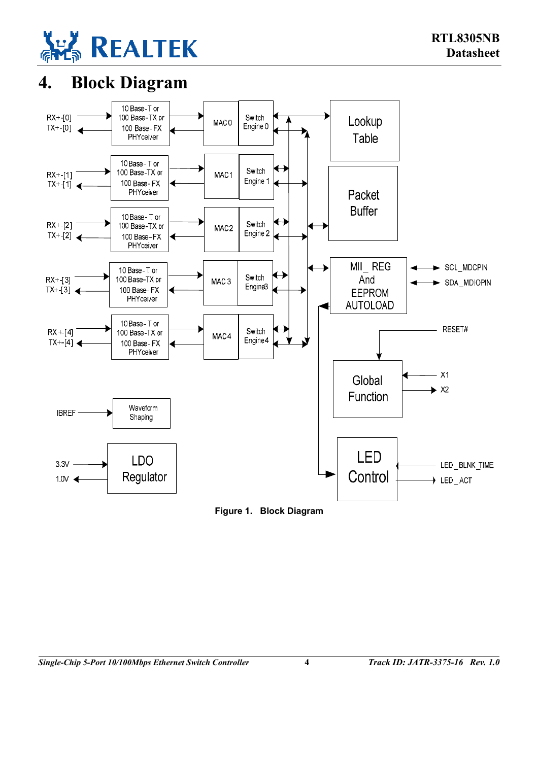

# <span id="page-9-0"></span>**4. Block Diagram**

<span id="page-9-1"></span>

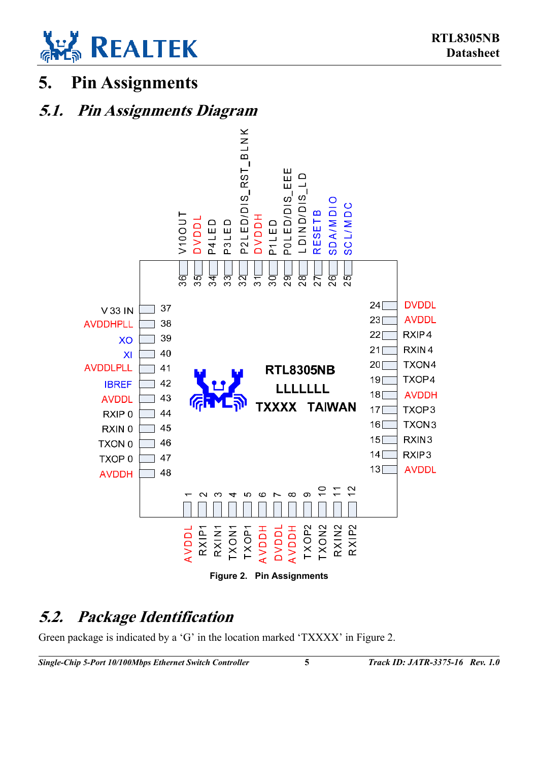

## <span id="page-10-0"></span>**5. Pin Assignments**

## **5.1. Pin Assignments Diagram**

<span id="page-10-3"></span><span id="page-10-1"></span>

## <span id="page-10-2"></span>**5.2. Package Identification**

Green package is indicated by a 'G' in the location marked 'TXXXX' in [Figure 2.](#page-10-3)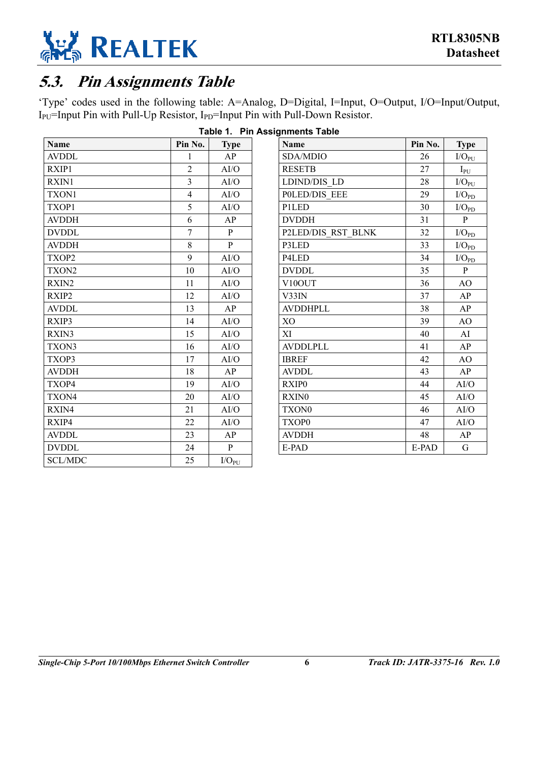

## <span id="page-11-0"></span>**5.3. Pin Assignments Table**

'Type' codes used in the following table: A=Analog, D=Digital, I=Input, O=Output, I/O=Input/Output, I<sub>PU</sub>=Input Pin with Pull-Up Resistor, I<sub>PD</sub>=Input Pin with Pull-Down Resistor.

| <b>Name</b>       | Pin No.                 | <b>Type</b>    |
|-------------------|-------------------------|----------------|
| <b>AVDDL</b>      | 1                       | AP             |
| RXIP1             | $\overline{2}$          | AI/O           |
| RXIN1             | $\overline{\mathbf{3}}$ | AI/O           |
| TXON1             | $\overline{4}$          | AI/O           |
| TXOP1             | 5                       | AI/O           |
| <b>AVDDH</b>      | 6                       | AP             |
| <b>DVDDL</b>      | $\overline{7}$          | P              |
| <b>AVDDH</b>      | 8                       | $\mathbf{P}$   |
| TXOP2             | 9                       | AI/O           |
| TXON2             | 10                      | AI/O           |
| RXIN <sub>2</sub> | 11                      | AI/O           |
| RXIP2             | 12                      | AI/O           |
| <b>AVDDL</b>      | 13                      | AP             |
| RXIP3             | 14                      | AI/O           |
| RXIN3             | 15                      | AI/O           |
| TXON3             | 16                      | AI/O           |
| TXOP3             | 17                      | AI/O           |
| <b>AVDDH</b>      | 18                      | AP             |
| TXOP4             | 19                      | AI/O           |
| TXON4             | 20                      | AI/O           |
| RXIN4             | 21                      | AI/O           |
| RXIP4             | 22                      | AI/O           |
| <b>AVDDL</b>      | 23                      | AP             |
| <b>DVDDL</b>      | 24                      | P              |
| <b>SCL/MDC</b>    | 25                      | $\rm I/O_{PU}$ |

<span id="page-11-1"></span>**Table 1. Pin Assignments Table** 

| Name                 | Pin No. | <b>Type</b>    |
|----------------------|---------|----------------|
| SDA/MDIO             | 26      | $I/O_{PU}$     |
| <b>RESETB</b>        | 27      | $I_{PU}$       |
| <b>LDIND/DIS LD</b>  | 28      | $I/O_{PU}$     |
| <b>POLED/DIS EEE</b> | 29      | $I/O_{PD}$     |
| P1LED                | 30      | $\rm I/O_{PD}$ |
| <b>DVDDH</b>         | 31      | P              |
| P2LED/DIS RST BLNK   | 32      | $\rm I/O_{PD}$ |
| P3LED                | 33      | $I/O_{PD}$     |
| P4LED                | 34      | $I/O_{PD}$     |
| <b>DVDDL</b>         | 35      | P              |
| V10OUT               | 36      | AO             |
| V33IN                | 37      | AP             |
| <b>AVDDHPLL</b>      | 38      | AP             |
| X <sub>O</sub>       | 39      | A <sub>O</sub> |
| XI                   | 40      | AI             |
| <b>AVDDLPLL</b>      | 41      | AP             |
| <b>IBREF</b>         | 42      | AO             |
| <b>AVDDL</b>         | 43      | AP             |
| RXIP <sub>0</sub>    | 44      | AI/O           |
| RXIN0                | 45      | AI/O           |
| TXON <sub>0</sub>    | 46      | AI/O           |
| TXOP0                | 47      | AI/O           |
| <b>AVDDH</b>         | 48      | AP             |
| E-PAD                | E-PAD   | G              |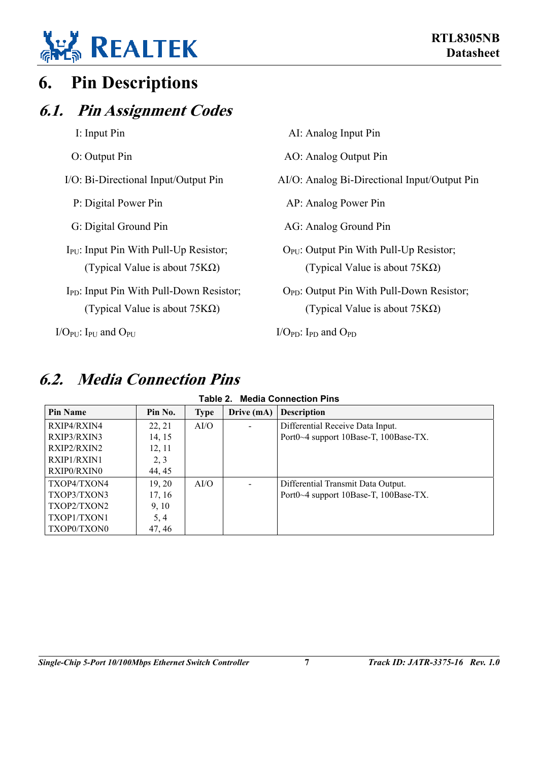

## <span id="page-12-0"></span>**6. Pin Descriptions**

## **6.1. Pin Assignment Codes**

<span id="page-12-1"></span>

| I: Input Pin                                                                                | AI: Analog Input Pin                                                                    |
|---------------------------------------------------------------------------------------------|-----------------------------------------------------------------------------------------|
| O: Output Pin                                                                               | AO: Analog Output Pin                                                                   |
| I/O: Bi-Directional Input/Output Pin                                                        | AI/O: Analog Bi-Directional Input/Output Pin                                            |
| P: Digital Power Pin                                                                        | AP: Analog Power Pin                                                                    |
| G: Digital Ground Pin                                                                       | AG: Analog Ground Pin                                                                   |
| $I_{\text{PU}}$ : Input Pin With Pull-Up Resistor;<br>(Typical Value is about $75K\Omega$ ) | $OPU$ : Output Pin With Pull-Up Resistor;<br>(Typical Value is about $75K\Omega$ )      |
| $I_{PD}$ : Input Pin With Pull-Down Resistor;<br>(Typical Value is about $75K\Omega$ )      | $O_{PD}$ : Output Pin With Pull-Down Resistor;<br>(Typical Value is about $75K\Omega$ ) |

 $I/O_{PU}$ : I<sub>PU</sub> and  $O_{PU}$  I/O<sub>PD</sub>: I<sub>PD</sub> and  $O_{PD}$ 

<span id="page-12-2"></span>**6.2. Media Connection Pins** 

# <span id="page-12-3"></span>**Table 2. Media Connection Pins**

| <b>Pin Name</b>    | Pin No. | <b>Type</b> | Drive (mA) | <b>Description</b>                    |
|--------------------|---------|-------------|------------|---------------------------------------|
| RXIP4/RXIN4        | 22, 21  | AI/O        | $\sim$     | Differential Receive Data Input.      |
| RXIP3/RXIN3        | 14, 15  |             |            | Port0~4 support 10Base-T, 100Base-TX. |
| RXIP2/RXIN2        | 12, 11  |             |            |                                       |
| <b>RXIP1/RXIN1</b> | 2, 3    |             |            |                                       |
| RXIP0/RXIN0        | 44, 45  |             |            |                                       |
| TXOP4/TXON4        | 19, 20  | AI/O        |            | Differential Transmit Data Output.    |
| TXOP3/TXON3        | 17, 16  |             |            | Port0~4 support 10Base-T, 100Base-TX. |
| TXOP2/TXON2        | 9, 10   |             |            |                                       |
| TXOP1/TXON1        | 5, 4    |             |            |                                       |
| TXOP0/TXON0        | 47, 46  |             |            |                                       |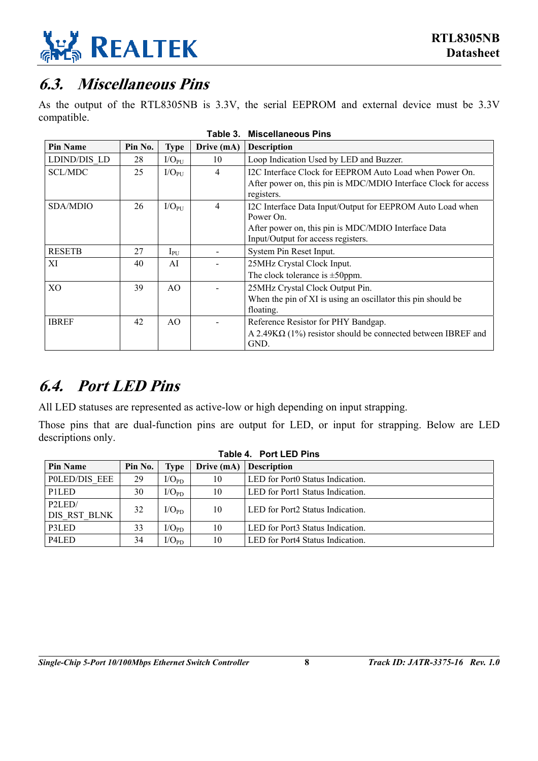

## <span id="page-13-0"></span>**6.3. Miscellaneous Pins**

As the output of the RTL8305NB is 3.3V, the serial EEPROM and external device must be 3.3V compatible.

| <b>Pin Name</b> | Pin No. | <b>Type</b>        | Drive (mA)     | <b>Description</b>                                                            |
|-----------------|---------|--------------------|----------------|-------------------------------------------------------------------------------|
| LDIND/DIS LD    | 28      | $I/O_{PU}$         | 10             | Loop Indication Used by LED and Buzzer.                                       |
| <b>SCL/MDC</b>  | 25      | I/O <sub>PIJ</sub> | $\overline{4}$ | I2C Interface Clock for EEPROM Auto Load when Power On.                       |
|                 |         |                    |                | After power on, this pin is MDC/MDIO Interface Clock for access<br>registers. |
| SDA/MDIO        | 26      | I/O <sub>PI</sub>  | $\overline{4}$ | I2C Interface Data Input/Output for EEPROM Auto Load when                     |
|                 |         |                    |                | Power On.                                                                     |
|                 |         |                    |                | After power on, this pin is MDC/MDIO Interface Data                           |
|                 |         |                    |                | Input/Output for access registers.                                            |
| <b>RESETB</b>   | 27      | $1_{\rm{PU}}$      |                | System Pin Reset Input.                                                       |
| XI              | 40      | AI                 |                | 25MHz Crystal Clock Input.                                                    |
|                 |         |                    |                | The clock tolerance is $\pm$ 50ppm.                                           |
| X <sub>O</sub>  | 39      | AO.                |                | 25MHz Crystal Clock Output Pin.                                               |
|                 |         |                    |                | When the pin of XI is using an oscillator this pin should be                  |
|                 |         |                    |                | floating.                                                                     |
| <b>IBREF</b>    | 42      | AO.                |                | Reference Resistor for PHY Bandgap.                                           |
|                 |         |                    |                | $A 2.49 K\Omega$ (1%) resistor should be connected between IBREF and          |
|                 |         |                    |                | GND.                                                                          |

<span id="page-13-2"></span>**Table 3. Miscellaneous Pins** 

## <span id="page-13-1"></span>**6.4. Port LED Pins**

All LED statuses are represented as active-low or high depending on input strapping.

Those pins that are dual-function pins are output for LED, or input for strapping. Below are LED descriptions only.

<span id="page-13-3"></span>

| Table 4. Port LED Pins          |         |            |            |                                  |  |  |  |
|---------------------------------|---------|------------|------------|----------------------------------|--|--|--|
| <b>Pin Name</b>                 | Pin No. | Type       | Drive (mA) | <b>Description</b>               |  |  |  |
| POLED/DIS EEE                   | 29      | $I/O_{PD}$ | 10         | LED for Port0 Status Indication. |  |  |  |
| P <sub>1</sub> L <sub>E</sub> D | 30      | $I/O_{PD}$ | 10         | LED for Port1 Status Indication. |  |  |  |
| P2LED/<br>DIS RST BLNK          | 32      | $I/O_{PD}$ | 10         | LED for Port2 Status Indication. |  |  |  |
| P3LED                           | 33      | $I/O_{PD}$ | 10         | LED for Port3 Status Indication. |  |  |  |
| P4LED                           | 34      | $I/O_{PD}$ | 10         | LED for Port4 Status Indication. |  |  |  |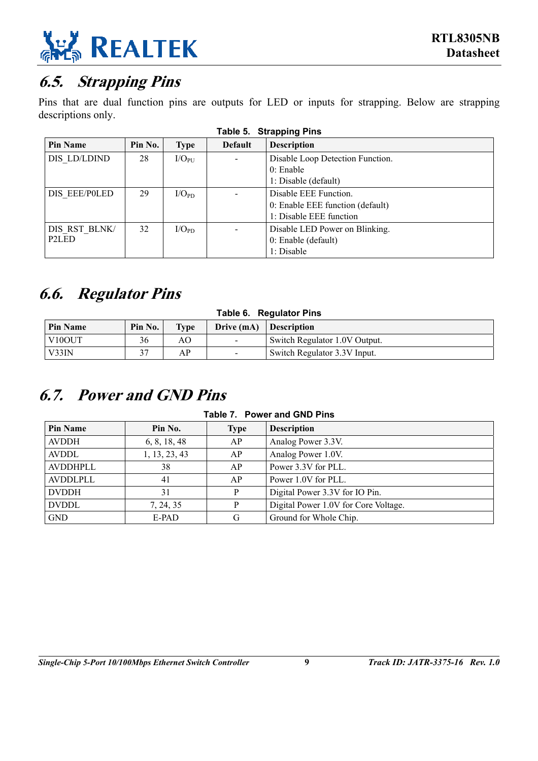

## <span id="page-14-0"></span>**6.5. Strapping Pins**

Pins that are dual function pins are outputs for LED or inputs for strapping. Below are strapping descriptions only.

| <b>Pin Name</b>    | Pin No. | <b>Type</b> | <b>Default</b> | <b>Description</b>               |  |  |  |
|--------------------|---------|-------------|----------------|----------------------------------|--|--|--|
| DIS LD/LDIND       | 28      | $I/O_{PUI}$ |                | Disable Loop Detection Function. |  |  |  |
|                    |         |             |                | $0$ : Enable                     |  |  |  |
|                    |         |             |                | 1: Disable (default)             |  |  |  |
| DIS EEE/POLED      | 29      | $I/O_{PD}$  |                | Disable EEE Function.            |  |  |  |
|                    |         |             |                | 0: Enable EEE function (default) |  |  |  |
|                    |         |             |                | 1: Disable EEE function          |  |  |  |
| DIS RST BLNK/      | 32      | $I/O_{PD}$  |                | Disable LED Power on Blinking.   |  |  |  |
| P <sub>2</sub> LED |         |             |                | 0: Enable (default)              |  |  |  |
|                    |         |             |                | 1: Disable                       |  |  |  |

#### <span id="page-14-3"></span>**Table 5. Strapping Pins**

## <span id="page-14-1"></span>**6.6. Regulator Pins**

| Table 6. Regulator Pins                                                         |    |    |  |                               |  |  |
|---------------------------------------------------------------------------------|----|----|--|-------------------------------|--|--|
| Pin No.<br><b>Pin Name</b><br><b>Type</b><br>Drive (mA)<br><b>□ Description</b> |    |    |  |                               |  |  |
| V <sub>10</sub> OUT                                                             | 36 | AО |  | Switch Regulator 1.0V Output. |  |  |
| V33IN                                                                           |    | AР |  | Switch Regulator 3.3V Input.  |  |  |

## <span id="page-14-2"></span>**6.7. Power and GND Pins**

<span id="page-14-5"></span><span id="page-14-4"></span>**Table 7. Power and GND Pins** 

| <b>Pin Name</b> | Pin No.       | <b>Type</b> | <b>Description</b>                   |
|-----------------|---------------|-------------|--------------------------------------|
| <b>AVDDH</b>    | 6, 8, 18, 48  | АP          | Analog Power 3.3V.                   |
| <b>AVDDL</b>    | 1, 13, 23, 43 | AP          | Analog Power 1.0V.                   |
| AVDDHPLL        | 38            | АP          | Power 3.3V for PLL.                  |
| AVDDLPLL        | 41            | AP          | Power 1.0V for PLL.                  |
| <b>DVDDH</b>    | 31            | P           | Digital Power 3.3V for IO Pin.       |
| <b>DVDDL</b>    | 7, 24, 35     | D           | Digital Power 1.0V for Core Voltage. |
| <b>GND</b>      | E-PAD         | G           | Ground for Whole Chip.               |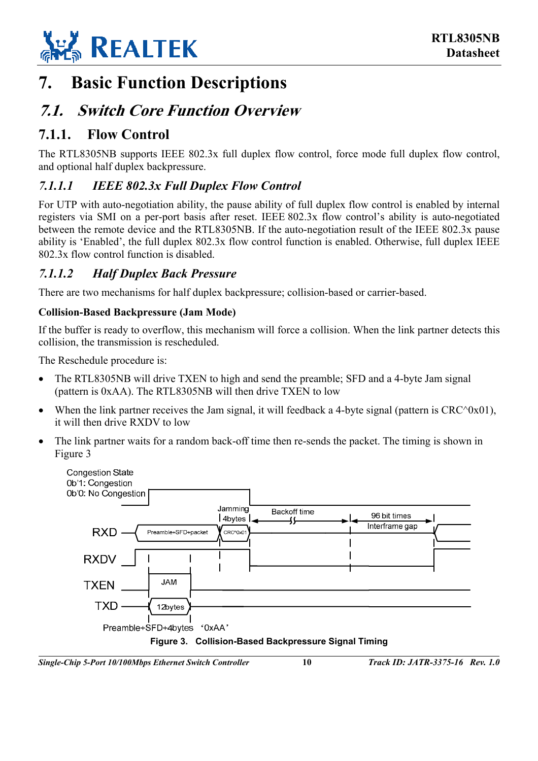

## <span id="page-15-0"></span>**7. Basic Function Descriptions**

## <span id="page-15-1"></span>**7.1. Switch Core Function Overview**

### <span id="page-15-2"></span>**7.1.1. Flow Control**

The RTL8305NB supports IEEE 802.3x full duplex flow control, force mode full duplex flow control, and optional half duplex backpressure.

#### <span id="page-15-3"></span>*7.1.1.1 IEEE 802.3x Full Duplex Flow Control*

For UTP with auto-negotiation ability, the pause ability of full duplex flow control is enabled by internal registers via SMI on a per-port basis after reset. IEEE 802.3x flow control's ability is auto-negotiated between the remote device and the RTL8305NB. If the auto-negotiation result of the IEEE 802.3x pause ability is 'Enabled', the full duplex 802.3x flow control function is enabled. Otherwise, full duplex IEEE 802.3x flow control function is disabled.

#### <span id="page-15-4"></span>*7.1.1.2 Half Duplex Back Pressure*

There are two mechanisms for half duplex backpressure; collision-based or carrier-based.

#### **Collision-Based Backpressure (Jam Mode)**

If the buffer is ready to overflow, this mechanism will force a collision. When the link partner detects this collision, the transmission is rescheduled.

The Reschedule procedure is:

- The RTL8305NB will drive TXEN to high and send the preamble; SFD and a 4-byte Jam signal (pattern is 0xAA). The RTL8305NB will then drive TXEN to low
- When the link partner receives the Jam signal, it will feedback a 4-byte signal (pattern is  $CRC^0x01$ ), it will then drive RXDV to low
- The link partner waits for a random back-off time then re-sends the packet. The timing is shown in [Figure 3](#page-15-5)

<span id="page-15-5"></span>

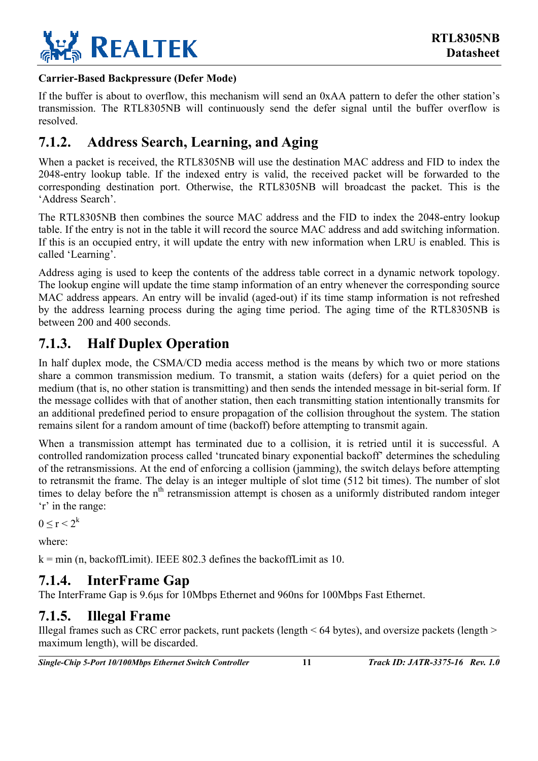

#### **Carrier-Based Backpressure (Defer Mode)**

If the buffer is about to overflow, this mechanism will send an 0xAA pattern to defer the other station's transmission. The RTL8305NB will continuously send the defer signal until the buffer overflow is resolved.

### <span id="page-16-0"></span>**7.1.2. Address Search, Learning, and Aging**

When a packet is received, the RTL8305NB will use the destination MAC address and FID to index the 2048-entry lookup table. If the indexed entry is valid, the received packet will be forwarded to the corresponding destination port. Otherwise, the RTL8305NB will broadcast the packet. This is the 'Address Search'.

The RTL8305NB then combines the source MAC address and the FID to index the 2048-entry lookup table. If the entry is not in the table it will record the source MAC address and add switching information. If this is an occupied entry, it will update the entry with new information when LRU is enabled. This is called 'Learning'.

Address aging is used to keep the contents of the address table correct in a dynamic network topology. The lookup engine will update the time stamp information of an entry whenever the corresponding source MAC address appears. An entry will be invalid (aged-out) if its time stamp information is not refreshed by the address learning process during the aging time period. The aging time of the RTL8305NB is between 200 and 400 seconds.

### <span id="page-16-1"></span>**7.1.3. Half Duplex Operation**

In half duplex mode, the CSMA/CD media access method is the means by which two or more stations share a common transmission medium. To transmit, a station waits (defers) for a quiet period on the medium (that is, no other station is transmitting) and then sends the intended message in bit-serial form. If the message collides with that of another station, then each transmitting station intentionally transmits for an additional predefined period to ensure propagation of the collision throughout the system. The station remains silent for a random amount of time (backoff) before attempting to transmit again.

When a transmission attempt has terminated due to a collision, it is retried until it is successful. A controlled randomization process called 'truncated binary exponential backoff' determines the scheduling of the retransmissions. At the end of enforcing a collision (jamming), the switch delays before attempting to retransmit the frame. The delay is an integer multiple of slot time (512 bit times). The number of slot times to delay before the n<sup>th</sup> retransmission attempt is chosen as a uniformly distributed random integer 'r' in the range:

 $0 \le r \le 2^k$ 

where:

 $k = min$  (n, backoffLimit). IEEE 802.3 defines the backoffLimit as 10.

### <span id="page-16-2"></span>**7.1.4. InterFrame Gap**

The InterFrame Gap is 9.6µs for 10Mbps Ethernet and 960ns for 100Mbps Fast Ethernet.

### <span id="page-16-3"></span>**7.1.5. Illegal Frame**

Illegal frames such as CRC error packets, runt packets (length < 64 bytes), and oversize packets (length > maximum length), will be discarded.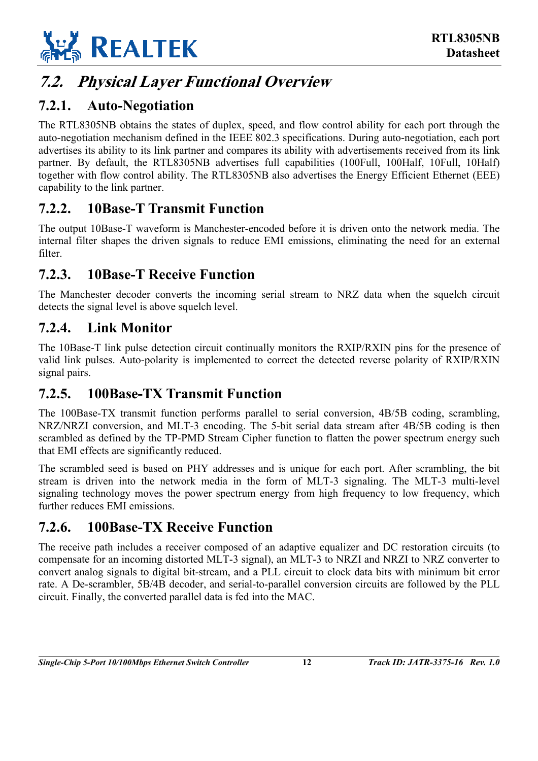

## <span id="page-17-0"></span>**7.2. Physical Layer Functional Overview**

### <span id="page-17-1"></span>**7.2.1. Auto-Negotiation**

The RTL8305NB obtains the states of duplex, speed, and flow control ability for each port through the auto-negotiation mechanism defined in the IEEE 802.3 specifications. During auto-negotiation, each port advertises its ability to its link partner and compares its ability with advertisements received from its link partner. By default, the RTL8305NB advertises full capabilities (100Full, 100Half, 10Full, 10Half) together with flow control ability. The RTL8305NB also advertises the Energy Efficient Ethernet (EEE) capability to the link partner.

### <span id="page-17-2"></span>**7.2.2. 10Base-T Transmit Function**

The output 10Base-T waveform is Manchester-encoded before it is driven onto the network media. The internal filter shapes the driven signals to reduce EMI emissions, eliminating the need for an external filter.

### <span id="page-17-3"></span>**7.2.3. 10Base-T Receive Function**

The Manchester decoder converts the incoming serial stream to NRZ data when the squelch circuit detects the signal level is above squelch level.

#### <span id="page-17-4"></span>**7.2.4. Link Monitor**

The 10Base-T link pulse detection circuit continually monitors the RXIP/RXIN pins for the presence of valid link pulses. Auto-polarity is implemented to correct the detected reverse polarity of RXIP/RXIN signal pairs.

#### <span id="page-17-5"></span>**7.2.5. 100Base-TX Transmit Function**

The 100Base-TX transmit function performs parallel to serial conversion, 4B/5B coding, scrambling, NRZ/NRZI conversion, and MLT-3 encoding. The 5-bit serial data stream after 4B/5B coding is then scrambled as defined by the TP-PMD Stream Cipher function to flatten the power spectrum energy such that EMI effects are significantly reduced.

The scrambled seed is based on PHY addresses and is unique for each port. After scrambling, the bit stream is driven into the network media in the form of MLT-3 signaling. The MLT-3 multi-level signaling technology moves the power spectrum energy from high frequency to low frequency, which further reduces EMI emissions.

### <span id="page-17-6"></span>**7.2.6. 100Base-TX Receive Function**

The receive path includes a receiver composed of an adaptive equalizer and DC restoration circuits (to compensate for an incoming distorted MLT-3 signal), an MLT-3 to NRZI and NRZI to NRZ converter to convert analog signals to digital bit-stream, and a PLL circuit to clock data bits with minimum bit error rate. A De-scrambler, 5B/4B decoder, and serial-to-parallel conversion circuits are followed by the PLL circuit. Finally, the converted parallel data is fed into the MAC.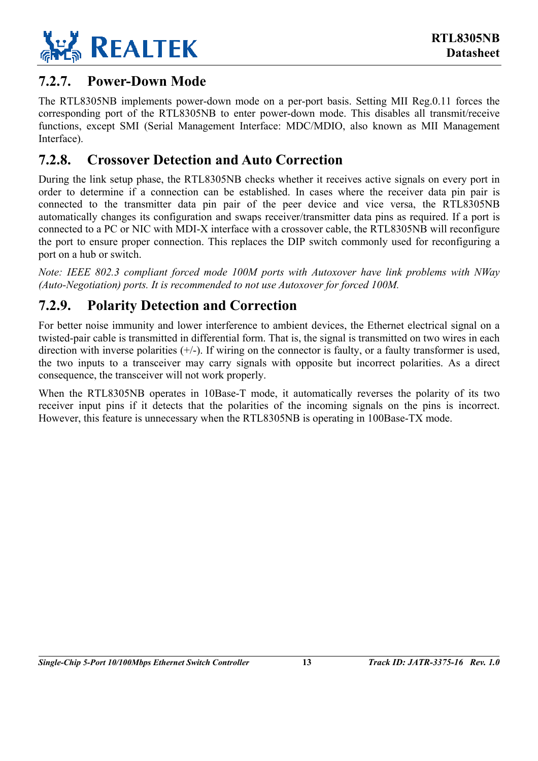

### <span id="page-18-0"></span>**7.2.7. Power-Down Mode**

The RTL8305NB implements power-down mode on a per-port basis. Setting MII Reg.0.11 forces the corresponding port of the RTL8305NB to enter power-down mode. This disables all transmit/receive functions, except SMI (Serial Management Interface: MDC/MDIO, also known as MII Management Interface).

### <span id="page-18-1"></span>**7.2.8. Crossover Detection and Auto Correction**

During the link setup phase, the RTL8305NB checks whether it receives active signals on every port in order to determine if a connection can be established. In cases where the receiver data pin pair is connected to the transmitter data pin pair of the peer device and vice versa, the RTL8305NB automatically changes its configuration and swaps receiver/transmitter data pins as required. If a port is connected to a PC or NIC with MDI-X interface with a crossover cable, the RTL8305NB will reconfigure the port to ensure proper connection. This replaces the DIP switch commonly used for reconfiguring a port on a hub or switch.

*Note: IEEE 802.3 compliant forced mode 100M ports with Autoxover have link problems with NWay (Auto-Negotiation) ports. It is recommended to not use Autoxover for forced 100M.* 

### <span id="page-18-2"></span>**7.2.9. Polarity Detection and Correction**

For better noise immunity and lower interference to ambient devices, the Ethernet electrical signal on a twisted-pair cable is transmitted in differential form. That is, the signal is transmitted on two wires in each direction with inverse polarities (+/-). If wiring on the connector is faulty, or a faulty transformer is used, the two inputs to a transceiver may carry signals with opposite but incorrect polarities. As a direct consequence, the transceiver will not work properly.

When the RTL8305NB operates in 10Base-T mode, it automatically reverses the polarity of its two receiver input pins if it detects that the polarities of the incoming signals on the pins is incorrect. However, this feature is unnecessary when the RTL8305NB is operating in 100Base-TX mode.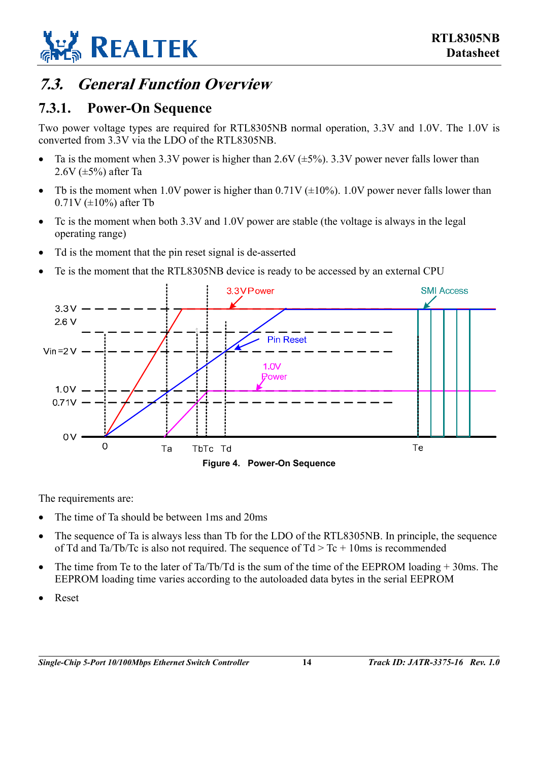

## <span id="page-19-0"></span>**7.3. General Function Overview**

### <span id="page-19-1"></span>**7.3.1. Power-On Sequence**

Two power voltage types are required for RTL8305NB normal operation, 3.3V and 1.0V. The 1.0V is converted from 3.3V via the LDO of the RTL8305NB.

- Ta is the moment when 3.3V power is higher than 2.6V  $(\pm 5\%)$ . 3.3V power never falls lower than  $2.6V$  ( $\pm$ 5%) after Ta
- Tb is the moment when 1.0V power is higher than  $0.71V (\pm 10\%)$ . 1.0V power never falls lower than  $0.71V (\pm 10\%)$  after Tb
- Tc is the moment when both 3.3V and 1.0V power are stable (the voltage is always in the legal operating range)
- Td is the moment that the pin reset signal is de-asserted
- <span id="page-19-2"></span>• Te is the moment that the RTL8305NB device is ready to be accessed by an external CPU



The requirements are:

- The time of Ta should be between 1ms and 20ms
- The sequence of Ta is always less than Tb for the LDO of the RTL8305NB. In principle, the sequence of Td and Ta/Tb/Tc is also not required. The sequence of  $Td > Tc + 10$ ms is recommended
- The time from Te to the later of Ta/Tb/Td is the sum of the time of the EEPROM loading  $+$  30ms. The EEPROM loading time varies according to the autoloaded data bytes in the serial EEPROM
- Reset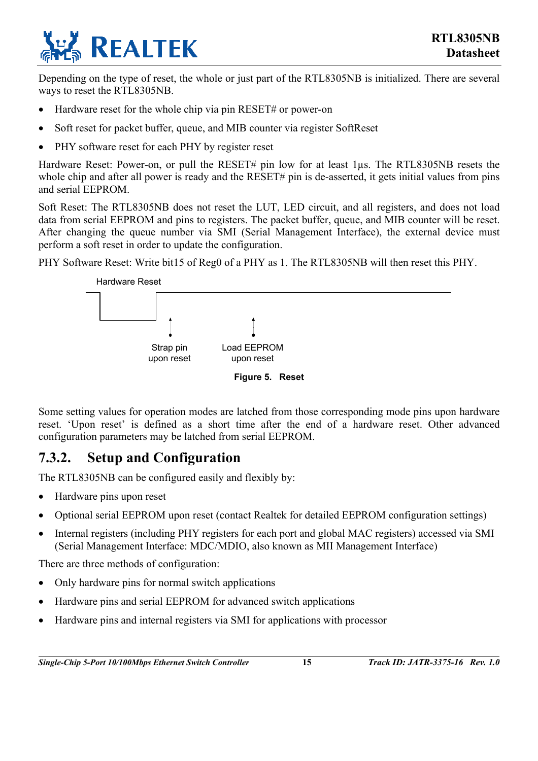

Depending on the type of reset, the whole or just part of the RTL8305NB is initialized. There are several ways to reset the RTL8305NB.

- Hardware reset for the whole chip via pin RESET# or power-on
- Soft reset for packet buffer, queue, and MIB counter via register SoftReset
- PHY software reset for each PHY by register reset

Hardware Reset: Power-on, or pull the RESET# pin low for at least 1us. The RTL8305NB resets the whole chip and after all power is ready and the RESET# pin is de-asserted, it gets initial values from pins and serial EEPROM.

Soft Reset: The RTL8305NB does not reset the LUT, LED circuit, and all registers, and does not load data from serial EEPROM and pins to registers. The packet buffer, queue, and MIB counter will be reset. After changing the queue number via SMI (Serial Management Interface), the external device must perform a soft reset in order to update the configuration.

PHY Software Reset: Write bit15 of Reg0 of a PHY as 1. The RTL8305NB will then reset this PHY.

<span id="page-20-1"></span>

Some setting values for operation modes are latched from those corresponding mode pins upon hardware reset. 'Upon reset' is defined as a short time after the end of a hardware reset. Other advanced configuration parameters may be latched from serial EEPROM.

### <span id="page-20-0"></span>**7.3.2. Setup and Configuration**

The RTL8305NB can be configured easily and flexibly by:

- Hardware pins upon reset
- Optional serial EEPROM upon reset (contact Realtek for detailed EEPROM configuration settings)
- Internal registers (including PHY registers for each port and global MAC registers) accessed via SMI (Serial Management Interface: MDC/MDIO, also known as MII Management Interface)

There are three methods of configuration:

- Only hardware pins for normal switch applications
- Hardware pins and serial EEPROM for advanced switch applications
- Hardware pins and internal registers via SMI for applications with processor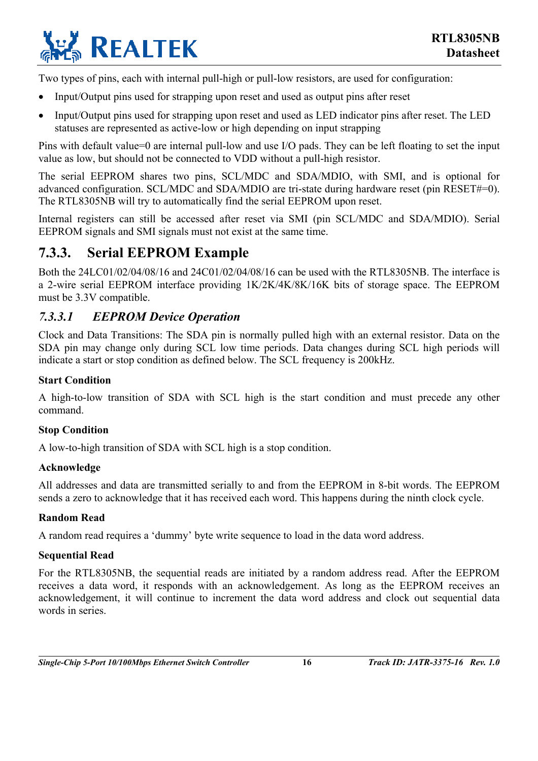

Two types of pins, each with internal pull-high or pull-low resistors, are used for configuration:

- Input/Output pins used for strapping upon reset and used as output pins after reset
- Input/Output pins used for strapping upon reset and used as LED indicator pins after reset. The LED statuses are represented as active-low or high depending on input strapping

Pins with default value=0 are internal pull-low and use I/O pads. They can be left floating to set the input value as low, but should not be connected to VDD without a pull-high resistor.

The serial EEPROM shares two pins, SCL/MDC and SDA/MDIO, with SMI, and is optional for advanced configuration. SCL/MDC and SDA/MDIO are tri-state during hardware reset (pin RESET#=0). The RTL8305NB will try to automatically find the serial EEPROM upon reset.

Internal registers can still be accessed after reset via SMI (pin SCL/MDC and SDA/MDIO). Serial EEPROM signals and SMI signals must not exist at the same time.

### <span id="page-21-0"></span>**7.3.3. Serial EEPROM Example**

Both the 24LC01/02/04/08/16 and 24C01/02/04/08/16 can be used with the RTL8305NB. The interface is a 2-wire serial EEPROM interface providing 1K/2K/4K/8K/16K bits of storage space. The EEPROM must be 3.3V compatible.

#### <span id="page-21-1"></span>*7.3.3.1 EEPROM Device Operation*

Clock and Data Transitions: The SDA pin is normally pulled high with an external resistor. Data on the SDA pin may change only during SCL low time periods. Data changes during SCL high periods will indicate a start or stop condition as defined below. The SCL frequency is 200kHz.

#### **Start Condition**

A high-to-low transition of SDA with SCL high is the start condition and must precede any other command.

#### **Stop Condition**

A low-to-high transition of SDA with SCL high is a stop condition.

#### **Acknowledge**

All addresses and data are transmitted serially to and from the EEPROM in 8-bit words. The EEPROM sends a zero to acknowledge that it has received each word. This happens during the ninth clock cycle.

#### **Random Read**

A random read requires a 'dummy' byte write sequence to load in the data word address.

#### **Sequential Read**

For the RTL8305NB, the sequential reads are initiated by a random address read. After the EEPROM receives a data word, it responds with an acknowledgement. As long as the EEPROM receives an acknowledgement, it will continue to increment the data word address and clock out sequential data words in series.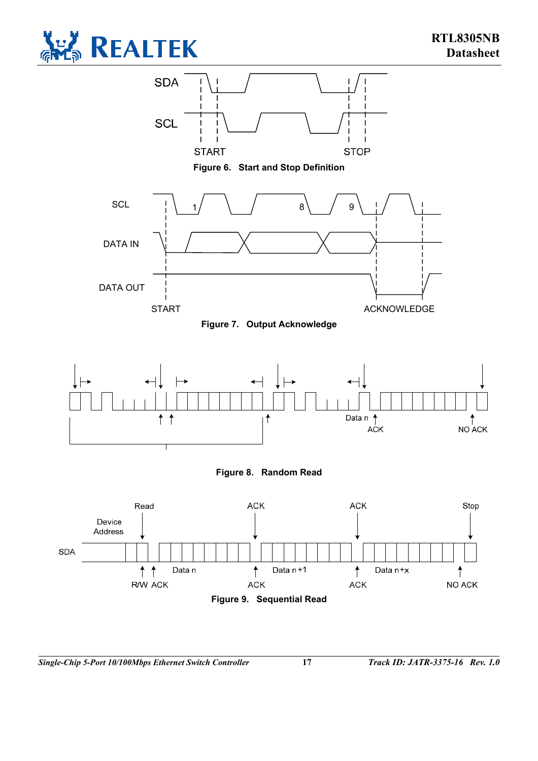

<span id="page-22-0"></span>

<span id="page-22-1"></span>**Figure 6. Start and Stop Definition** 



<span id="page-22-2"></span>



<span id="page-22-3"></span>

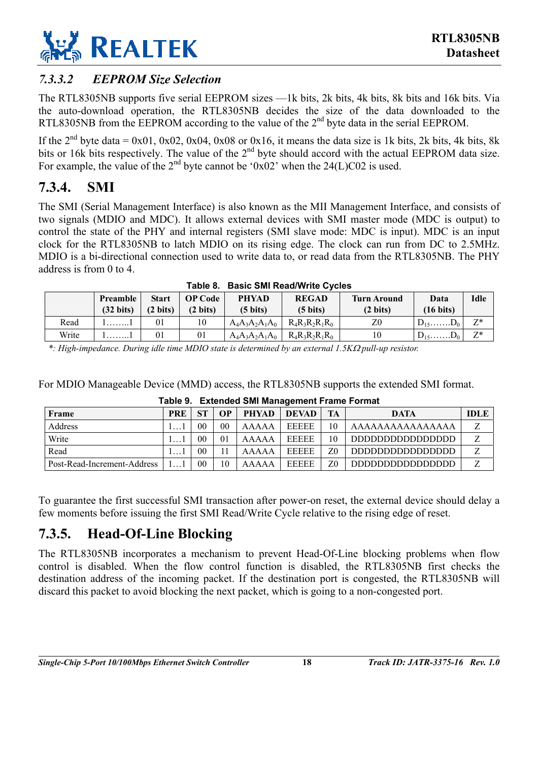

#### <span id="page-23-0"></span>*7.3.3.2 EEPROM Size Selection*

The RTL8305NB supports five serial EEPROM sizes —1k bits, 2k bits, 4k bits, 8k bits and 16k bits. Via the auto-download operation, the RTL8305NB decides the size of the data downloaded to the RTL8305NB from the EEPROM according to the value of the  $2<sup>nd</sup>$  byte data in the serial EEPROM.

If the  $2^{nd}$  byte data = 0x01, 0x02, 0x04, 0x08 or 0x16, it means the data size is 1k bits, 2k bits, 4k bits, 8k bits or 16k bits respectively. The value of the 2<sup>nd</sup> byte should accord with the actual EEPROM data size. For example, the value of the  $2<sup>nd</sup>$  byte cannot be '0x02' when the 24(L)C02 is used.

### <span id="page-23-1"></span>**7.3.4. SMI**

The SMI (Serial Management Interface) is also known as the MII Management Interface, and consists of two signals (MDIO and MDC). It allows external devices with SMI master mode (MDC is output) to control the state of the PHY and internal registers (SMI slave mode: MDC is input). MDC is an input clock for the RTL8305NB to latch MDIO on its rising edge. The clock can run from DC to 2.5MHz. MDIO is a bi-directional connection used to write data to, or read data from the RTL8305NB. The PHY address is from 0 to 4.

| Table 6. Basic Sivil Read/Write Cycles |                     |                    |                    |                    |                    |                    |                     |             |
|----------------------------------------|---------------------|--------------------|--------------------|--------------------|--------------------|--------------------|---------------------|-------------|
|                                        | Preamble            | <b>Start</b>       | <b>OP Code</b>     | <b>PHYAD</b>       | <b>REGAD</b>       | <b>Turn Around</b> | Data                | <b>Idle</b> |
|                                        | $(32 \text{ bits})$ | $(2 \text{ bits})$ | $(2 \text{ bits})$ | $(5 \text{ bits})$ | $(5 \text{ bits})$ | $(2 \text{ bits})$ | $(16 \text{ bits})$ |             |
| Read                                   | . 1                 | 01                 | 10                 | $A_4A_3A_2A_1A_0$  | $R_4R_3R_2R_1R_0$  | Z0                 | $D_{15}$ $D_0$      | $Z^*$       |
| Write                                  | . 1                 | 01                 | 01                 | $A_4A_3A_2A_1A_0$  | $R_4R_3R_2R_1R_0$  | 10                 | $D_{15}$ $D_0$      | $Z^*$       |

#### <span id="page-23-3"></span>**Table 8. Basic SMI Read/Write Cycles**

*\*: High-impedance. During idle time MDIO state is determined by an external 1.5K*Ω *pull-up resistor.* 

For MDIO Manageable Device (MMD) access, the RTL8305NB supports the extended SMI format.

| Frame                       | <b>PRE</b> | <b>ST</b> | OP             | <b>PHYAD</b> | <b>DEVAD</b> | <b>TA</b> | <b>DATA</b>     | <b>IDLE</b> |
|-----------------------------|------------|-----------|----------------|--------------|--------------|-----------|-----------------|-------------|
| Address                     |            | 00        | 0 <sub>0</sub> | AAAAA        | <b>EEEEE</b> | $10^{-1}$ | AAAAAAAAAAAAAAA | 7           |
| Write                       |            | 00        | 0 <sub>1</sub> | AAAAA        | <b>EEEEE</b> | 10        | adadaadaaaaaaa  | Z           |
| Read                        |            | 00        |                | AAAAA        | <b>EEEEE</b> | Z0        | addadadadaadaa  | 7           |
| Post-Read-Increment-Address |            | 00        | 10             | AAAAA        | <b>EEEEE</b> | Z0        | addadadadadaan  | 7           |

<span id="page-23-4"></span>

|  | Table 9. Extended SMI Management Frame Format |
|--|-----------------------------------------------|

To guarantee the first successful SMI transaction after power-on reset, the external device should delay a few moments before issuing the first SMI Read/Write Cycle relative to the rising edge of reset.

### <span id="page-23-2"></span>**7.3.5. Head-Of-Line Blocking**

The RTL8305NB incorporates a mechanism to prevent Head-Of-Line blocking problems when flow control is disabled. When the flow control function is disabled, the RTL8305NB first checks the destination address of the incoming packet. If the destination port is congested, the RTL8305NB will discard this packet to avoid blocking the next packet, which is going to a non-congested port.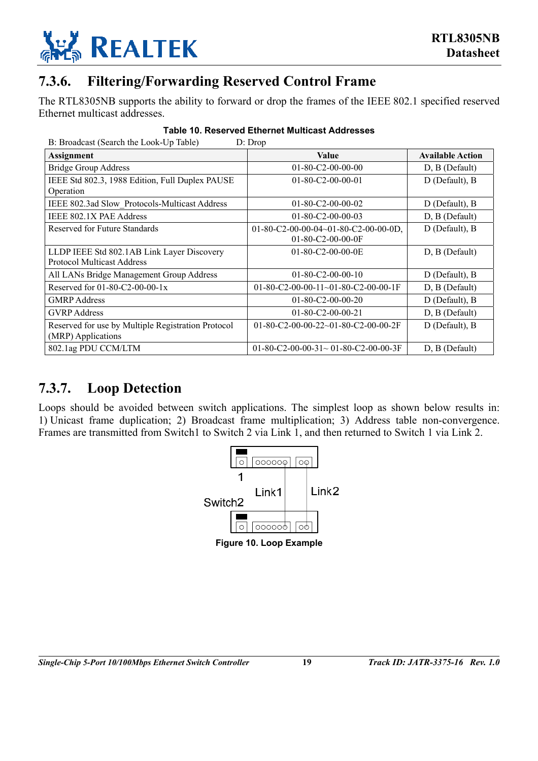

### <span id="page-24-0"></span>**7.3.6. Filtering/Forwarding Reserved Control Frame**

The RTL8305NB supports the ability to forward or drop the frames of the IEEE 802.1 specified reserved Ethernet multicast addresses.

| B: Broadcast (Search the Look-Up Table)<br>D: Drop                              |                                                                       |                         |  |  |  |  |
|---------------------------------------------------------------------------------|-----------------------------------------------------------------------|-------------------------|--|--|--|--|
| <b>Assignment</b>                                                               | <b>Value</b>                                                          | <b>Available Action</b> |  |  |  |  |
| <b>Bridge Group Address</b>                                                     | $01 - 80 - C2 - 00 - 00 - 00$                                         | $D, B$ (Default)        |  |  |  |  |
| IEEE Std 802.3, 1988 Edition, Full Duplex PAUSE<br>Operation                    | $01 - 80 - C2 - 00 - 00 - 01$                                         | D (Default), B          |  |  |  |  |
| IEEE 802.3ad Slow Protocols-Multicast Address                                   | $01 - 80 - C2 - 00 - 00 - 02$                                         | D (Default), B          |  |  |  |  |
| IEEE 802.1X PAE Address                                                         | $01 - 80 - C2 - 00 - 00 - 03$                                         | D, B (Default)          |  |  |  |  |
| Reserved for Future Standards                                                   | 01-80-C2-00-00-04~01-80-C2-00-00-0D,<br>$01 - 80 - C2 - 00 - 00 - 0F$ | D (Default), B          |  |  |  |  |
| LLDP IEEE Std 802.1AB Link Layer Discovery<br><b>Protocol Multicast Address</b> | $01 - 80 - C2 - 00 - 00 - 0E$                                         | D, B (Default)          |  |  |  |  |
| All LANs Bridge Management Group Address                                        | $01 - 80 - C2 - 00 - 00 - 10$                                         | D (Default), B          |  |  |  |  |
| Reserved for $01-80-C2-00-00-1x$                                                | 01-80-C2-00-00-11~01-80-C2-00-00-1F                                   | D, B (Default)          |  |  |  |  |
| <b>GMRP</b> Address                                                             | $01 - 80 - C2 - 00 - 00 - 20$                                         | $D$ (Default), $B$      |  |  |  |  |
| <b>GVRP</b> Address                                                             | $01 - 80 - C2 - 00 - 00 - 21$                                         | D, B (Default)          |  |  |  |  |
| Reserved for use by Multiple Registration Protocol<br>(MRP) Applications        | 01-80-C2-00-00-22~01-80-C2-00-00-2F                                   | D (Default), B          |  |  |  |  |
| 802.1ag PDU CCM/LTM                                                             | 01-80-C2-00-00-31 $\sim$ 01-80-C2-00-00-3F                            | D, B (Default)          |  |  |  |  |

#### <span id="page-24-2"></span>**Table 10. Reserved Ethernet Multicast Addresses**

### <span id="page-24-1"></span>**7.3.7. Loop Detection**

Loops should be avoided between switch applications. The simplest loop as shown below results in: 1) Unicast frame duplication; 2) Broadcast frame multiplication; 3) Address table non-convergence. Frames are transmitted from Switch1 to Switch 2 via Link 1, and then returned to Switch 1 via Link 2.

<span id="page-24-3"></span>

**Figure 10. Loop Example**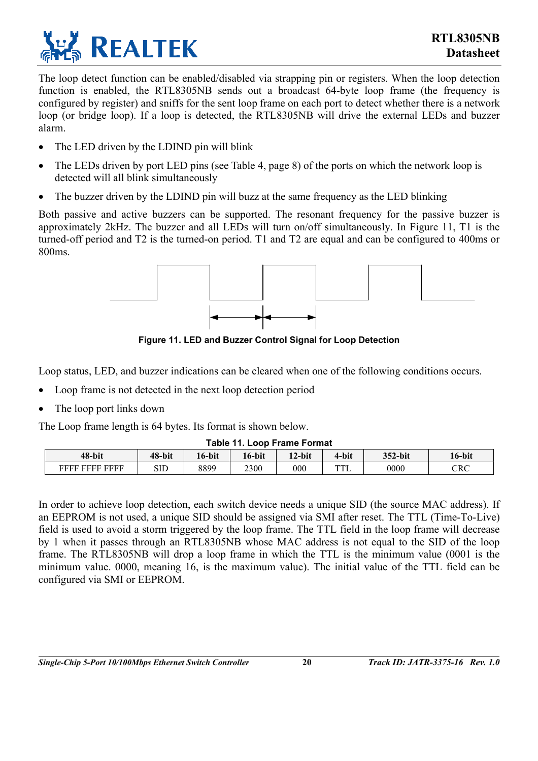

The loop detect function can be enabled/disabled via strapping pin or registers. When the loop detection function is enabled, the RTL8305NB sends out a broadcast 64-byte loop frame (the frequency is configured by register) and sniffs for the sent loop frame on each port to detect whether there is a network loop (or bridge loop). If a loop is detected, the RTL8305NB will drive the external LEDs and buzzer alarm.

- The LED driven by the LDIND pin will blink
- The LEDs driven by port LED pins (see [Table 4,](#page-13-3) page [8\)](#page-13-3) of the ports on which the network loop is detected will all blink simultaneously
- The buzzer driven by the LDIND pin will buzz at the same frequency as the LED blinking

Both passive and active buzzers can be supported. The resonant frequency for the passive buzzer is approximately 2kHz. The buzzer and all LEDs will turn on/off simultaneously. In [Figure 11,](#page-25-1) T1 is the turned-off period and T2 is the turned-on period. T1 and T2 are equal and can be configured to 400ms or 800ms.

<span id="page-25-1"></span>

**Figure 11. LED and Buzzer Control Signal for Loop Detection** 

Loop status, LED, and buzzer indications can be cleared when one of the following conditions occurs.

- Loop frame is not detected in the next loop detection period
- The loop port links down

The Loop frame length is 64 bytes. Its format is shown below.

<span id="page-25-0"></span>

| <b>Table 11. Loop Frame Format</b> |  |
|------------------------------------|--|
|------------------------------------|--|

| 48-bit                   | 48-bit | 16-bit | 16-bit | 12-bit  | 4-bit     | 352-bit | l 6-bit |
|--------------------------|--------|--------|--------|---------|-----------|---------|---------|
| <b>EEEE</b><br>FFFF FFFF | SIE    | 8899   | 2300   | $000\,$ | mm<br>1 L | 0000    | CRC     |

In order to achieve loop detection, each switch device needs a unique SID (the source MAC address). If an EEPROM is not used, a unique SID should be assigned via SMI after reset. The TTL (Time-To-Live) field is used to avoid a storm triggered by the loop frame. The TTL field in the loop frame will decrease by 1 when it passes through an RTL8305NB whose MAC address is not equal to the SID of the loop frame. The RTL8305NB will drop a loop frame in which the TTL is the minimum value (0001 is the minimum value. 0000, meaning 16, is the maximum value). The initial value of the TTL field can be configured via SMI or EEPROM.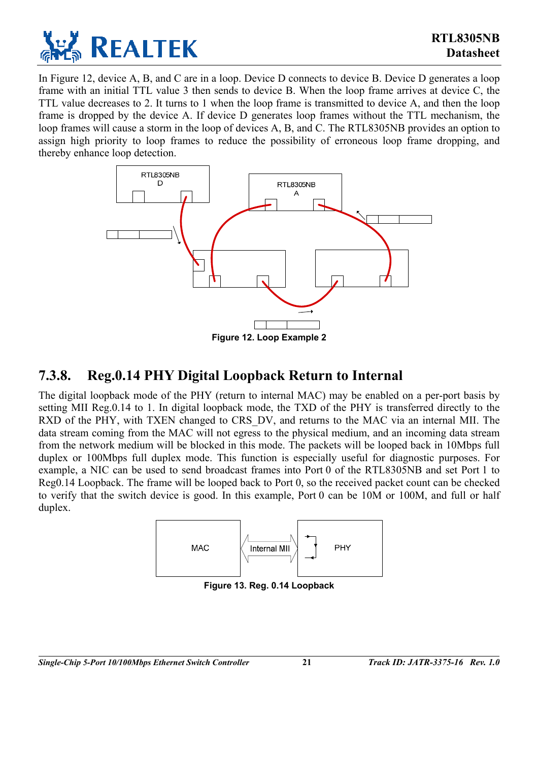

In [Figure 12,](#page-26-1) device A, B, and C are in a loop. Device D connects to device B. Device D generates a loop frame with an initial TTL value 3 then sends to device B. When the loop frame arrives at device C, the TTL value decreases to 2. It turns to 1 when the loop frame is transmitted to device A, and then the loop frame is dropped by the device A. If device D generates loop frames without the TTL mechanism, the loop frames will cause a storm in the loop of devices A, B, and C. The RTL8305NB provides an option to assign high priority to loop frames to reduce the possibility of erroneous loop frame dropping, and thereby enhance loop detection.

<span id="page-26-1"></span>

### <span id="page-26-0"></span>**7.3.8. Reg.0.14 PHY Digital Loopback Return to Internal**

The digital loopback mode of the PHY (return to internal MAC) may be enabled on a per-port basis by setting MII Reg.0.14 to 1. In digital loopback mode, the TXD of the PHY is transferred directly to the RXD of the PHY, with TXEN changed to CRS DV, and returns to the MAC via an internal MII. The data stream coming from the MAC will not egress to the physical medium, and an incoming data stream from the network medium will be blocked in this mode. The packets will be looped back in 10Mbps full duplex or 100Mbps full duplex mode. This function is especially useful for diagnostic purposes. For example, a NIC can be used to send broadcast frames into Port 0 of the RTL8305NB and set Port 1 to Reg0.14 Loopback. The frame will be looped back to Port 0, so the received packet count can be checked to verify that the switch device is good. In this example, Port 0 can be 10M or 100M, and full or half duplex.

<span id="page-26-2"></span>

**Figure 13. Reg. 0.14 Loopback**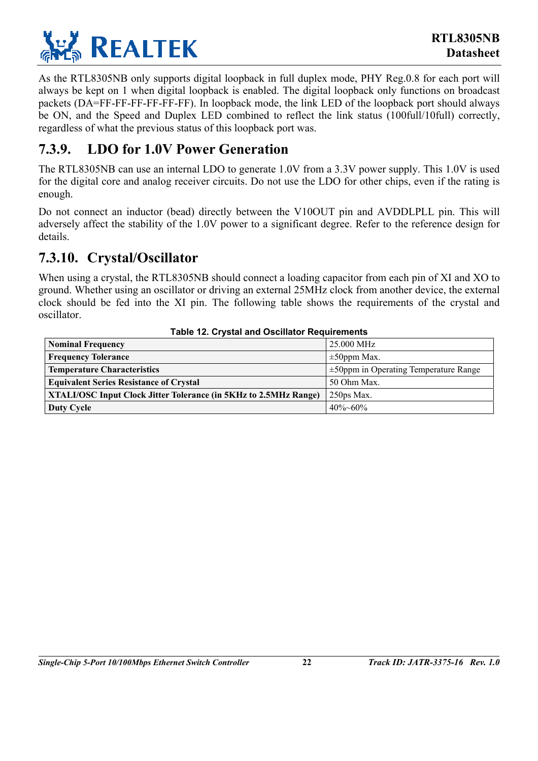

As the RTL8305NB only supports digital loopback in full duplex mode, PHY Reg.0.8 for each port will always be kept on 1 when digital loopback is enabled. The digital loopback only functions on broadcast packets (DA=FF-FF-FF-FF-FF-FF). In loopback mode, the link LED of the loopback port should always be ON, and the Speed and Duplex LED combined to reflect the link status (100full/10full) correctly, regardless of what the previous status of this loopback port was.

### <span id="page-27-0"></span>**7.3.9. LDO for 1.0V Power Generation**

The RTL8305NB can use an internal LDO to generate 1.0V from a 3.3V power supply. This 1.0V is used for the digital core and analog receiver circuits. Do not use the LDO for other chips, even if the rating is enough.

Do not connect an inductor (bead) directly between the V10OUT pin and AVDDLPLL pin. This will adversely affect the stability of the 1.0V power to a significant degree. Refer to the reference design for details.

### <span id="page-27-1"></span>**7.3.10. Crystal/Oscillator**

When using a crystal, the RTL8305NB should connect a loading capacitor from each pin of XI and XO to ground. Whether using an oscillator or driving an external 25MHz clock from another device, the external clock should be fed into the XI pin. The following table shows the requirements of the crystal and oscillator.

| <b>Nominal Frequency</b>                                         | 25,000 MHz                                 |
|------------------------------------------------------------------|--------------------------------------------|
| <b>Frequency Tolerance</b>                                       | $\pm 50$ ppm Max.                          |
| <b>Temperature Characteristics</b>                               | $\pm$ 50ppm in Operating Temperature Range |
| <b>Equivalent Series Resistance of Crystal</b>                   | 50 Ohm Max.                                |
| XTALI/OSC Input Clock Jitter Tolerance (in 5KHz to 2.5MHz Range) | $250ps$ Max.                               |
| Duty Cycle                                                       | $40\% - 60\%$                              |

#### <span id="page-27-2"></span>**Table 12. Crystal and Oscillator Requirements**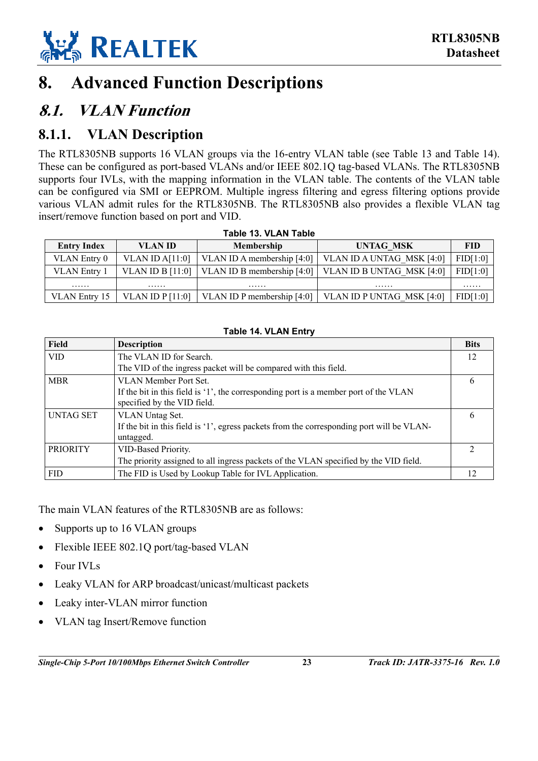

## <span id="page-28-0"></span>**8. Advanced Function Descriptions**

## <span id="page-28-1"></span>**8.1. VLAN Function**

### <span id="page-28-2"></span>**8.1.1. VLAN Description**

The RTL8305NB supports 16 VLAN groups via the 16-entry VLAN table (see [Table 13](#page-28-3) and [Table 14\)](#page-28-4). These can be configured as port-based VLANs and/or IEEE 802.1Q tag-based VLANs. The RTL8305NB supports four IVLs, with the mapping information in the VLAN table. The contents of the VLAN table can be configured via SMI or EEPROM. Multiple ingress filtering and egress filtering options provide various VLAN admit rules for the RTL8305NB. The RTL8305NB also provides a flexible VLAN tag insert/remove function based on port and VID.

|                     | I ANIC IV. VLAIN TANIC |                                    |                           |            |  |  |  |  |
|---------------------|------------------------|------------------------------------|---------------------------|------------|--|--|--|--|
| <b>Entry Index</b>  | <b>VLAN ID</b>         | <b>Membership</b>                  | <b>UNTAG MSK</b>          | <b>FID</b> |  |  |  |  |
| VLAN Entry 0        | VLAN ID $A[11:0]$      | VLAN ID A membership $[4:0]$       | VLAN ID A UNTAG MSK [4:0] | FID[1:0]   |  |  |  |  |
| <b>VLAN</b> Entry 1 | VLAN ID B $[11:0]$     | VLAN ID B membership $[4:0]$       | VLAN ID B UNTAG MSK [4:0] | FID[1:0]   |  |  |  |  |
| .                   | .                      | .                                  | .                         | .          |  |  |  |  |
| VLAN Entry 15       | VLAN ID $P[11:0]$      | $\vert$ VLAN ID P membership [4:0] | VLAN ID P UNTAG MSK [4:0] | FID[1:0]   |  |  |  |  |

#### <span id="page-28-3"></span>**Table 13. VLAN Table**

#### <span id="page-28-4"></span>**Table 14. VLAN Entry**

| Field           | <b>Description</b>                                                                                                  | <b>Bits</b> |
|-----------------|---------------------------------------------------------------------------------------------------------------------|-------------|
| <b>VID</b>      | The VLAN ID for Search.                                                                                             | 12          |
|                 | The VID of the ingress packet will be compared with this field.                                                     |             |
| <b>MBR</b>      | VLAN Member Port Set.                                                                                               | b           |
|                 | If the bit in this field is '1', the corresponding port is a member port of the VLAN<br>specified by the VID field. |             |
| UNTAG SET       | VLAN Untag Set.                                                                                                     | 6           |
|                 | If the bit in this field is '1', egress packets from the corresponding port will be VLAN-<br>untagged.              |             |
| <b>PRIORITY</b> | VID-Based Priority.                                                                                                 |             |
|                 | The priority assigned to all ingress packets of the VLAN specified by the VID field.                                |             |
| <b>FID</b>      | The FID is Used by Lookup Table for IVL Application.                                                                |             |

The main VLAN features of the RTL8305NB are as follows:

- Supports up to 16 VLAN groups
- Flexible IEEE 802.1Q port/tag-based VLAN
- Four IVLs
- Leaky VLAN for ARP broadcast/unicast/multicast packets
- Leaky inter-VLAN mirror function
- VLAN tag Insert/Remove function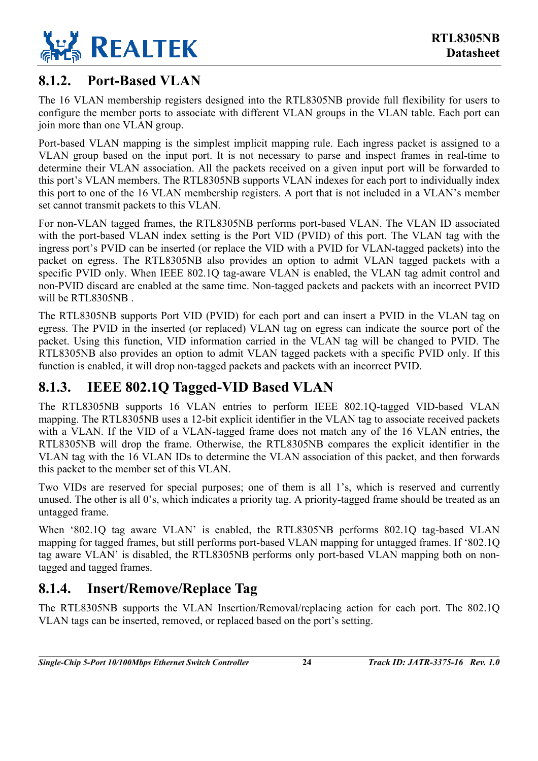

### <span id="page-29-0"></span>**8.1.2. Port-Based VLAN**

The 16 VLAN membership registers designed into the RTL8305NB provide full flexibility for users to configure the member ports to associate with different VLAN groups in the VLAN table. Each port can join more than one VLAN group.

Port-based VLAN mapping is the simplest implicit mapping rule. Each ingress packet is assigned to a VLAN group based on the input port. It is not necessary to parse and inspect frames in real-time to determine their VLAN association. All the packets received on a given input port will be forwarded to this port's VLAN members. The RTL8305NB supports VLAN indexes for each port to individually index this port to one of the 16 VLAN membership registers. A port that is not included in a VLAN's member set cannot transmit packets to this VLAN.

For non-VLAN tagged frames, the RTL8305NB performs port-based VLAN. The VLAN ID associated with the port-based VLAN index setting is the Port VID (PVID) of this port. The VLAN tag with the ingress port's PVID can be inserted (or replace the VID with a PVID for VLAN-tagged packets) into the packet on egress. The RTL8305NB also provides an option to admit VLAN tagged packets with a specific PVID only. When IEEE 802.10 tag-aware VLAN is enabled, the VLAN tag admit control and non-PVID discard are enabled at the same time. Non-tagged packets and packets with an incorrect PVID will be RTL8305NB .

The RTL8305NB supports Port VID (PVID) for each port and can insert a PVID in the VLAN tag on egress. The PVID in the inserted (or replaced) VLAN tag on egress can indicate the source port of the packet. Using this function, VID information carried in the VLAN tag will be changed to PVID. The RTL8305NB also provides an option to admit VLAN tagged packets with a specific PVID only. If this function is enabled, it will drop non-tagged packets and packets with an incorrect PVID.

### <span id="page-29-1"></span>**8.1.3. IEEE 802.1Q Tagged-VID Based VLAN**

The RTL8305NB supports 16 VLAN entries to perform IEEE 802.1Q-tagged VID-based VLAN mapping. The RTL8305NB uses a 12-bit explicit identifier in the VLAN tag to associate received packets with a VLAN. If the VID of a VLAN-tagged frame does not match any of the 16 VLAN entries, the RTL8305NB will drop the frame. Otherwise, the RTL8305NB compares the explicit identifier in the VLAN tag with the 16 VLAN IDs to determine the VLAN association of this packet, and then forwards this packet to the member set of this VLAN.

Two VIDs are reserved for special purposes; one of them is all 1's, which is reserved and currently unused. The other is all 0's, which indicates a priority tag. A priority-tagged frame should be treated as an untagged frame.

When '802.1Q tag aware VLAN' is enabled, the RTL8305NB performs 802.1Q tag-based VLAN mapping for tagged frames, but still performs port-based VLAN mapping for untagged frames. If '802.1Q tag aware VLAN' is disabled, the RTL8305NB performs only port-based VLAN mapping both on nontagged and tagged frames.

### <span id="page-29-2"></span>**8.1.4. Insert/Remove/Replace Tag**

The RTL8305NB supports the VLAN Insertion/Removal/replacing action for each port. The 802.1Q VLAN tags can be inserted, removed, or replaced based on the port's setting.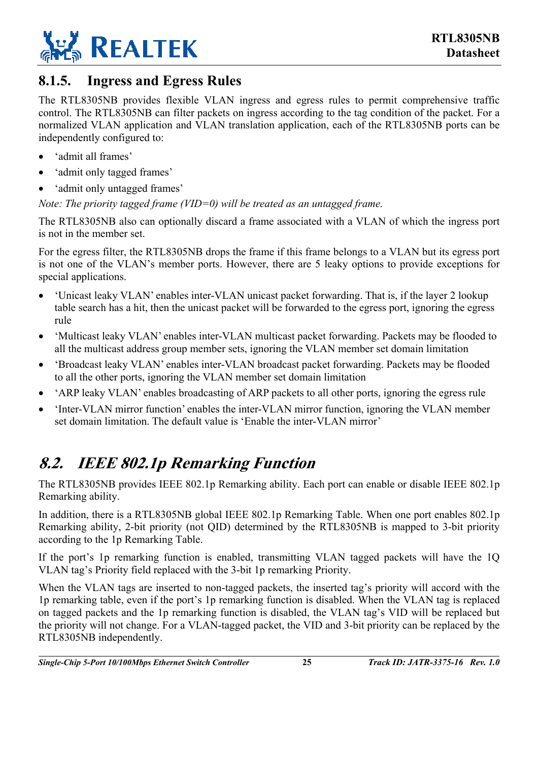

### <span id="page-30-0"></span>**8.1.5. Ingress and Egress Rules**

The RTL8305NB provides flexible VLAN ingress and egress rules to permit comprehensive traffic control. The RTL8305NB can filter packets on ingress according to the tag condition of the packet. For a normalized VLAN application and VLAN translation application, each of the RTL8305NB ports can be independently configured to:

- 'admit all frames'
- 'admit only tagged frames'
- 'admit only untagged frames'

*Note: The priority tagged frame (VID=0) will be treated as an untagged frame.* 

The RTL8305NB also can optionally discard a frame associated with a VLAN of which the ingress port is not in the member set.

For the egress filter, the RTL8305NB drops the frame if this frame belongs to a VLAN but its egress port is not one of the VLAN's member ports. However, there are 5 leaky options to provide exceptions for special applications.

- 'Unicast leaky VLAN' enables inter-VLAN unicast packet forwarding. That is, if the layer 2 lookup table search has a hit, then the unicast packet will be forwarded to the egress port, ignoring the egress rule
- 'Multicast leaky VLAN' enables inter-VLAN multicast packet forwarding. Packets may be flooded to all the multicast address group member sets, ignoring the VLAN member set domain limitation
- 'Broadcast leaky VLAN' enables inter-VLAN broadcast packet forwarding. Packets may be flooded to all the other ports, ignoring the VLAN member set domain limitation
- 'ARP leaky VLAN' enables broadcasting of ARP packets to all other ports, ignoring the egress rule
- 'Inter-VLAN mirror function' enables the inter-VLAN mirror function, ignoring the VLAN member set domain limitation. The default value is 'Enable the inter-VLAN mirror'

## <span id="page-30-1"></span>**8.2. IEEE 802.1p Remarking Function**

The RTL8305NB provides IEEE 802.1p Remarking ability. Each port can enable or disable IEEE 802.1p Remarking ability.

In addition, there is a RTL8305NB global IEEE 802.1p Remarking Table. When one port enables 802.1p Remarking ability, 2-bit priority (not QID) determined by the RTL8305NB is mapped to 3-bit priority according to the 1p Remarking Table.

If the port's 1p remarking function is enabled, transmitting VLAN tagged packets will have the 1Q VLAN tag's Priority field replaced with the 3-bit 1p remarking Priority.

When the VLAN tags are inserted to non-tagged packets, the inserted tag's priority will accord with the 1p remarking table, even if the port's 1p remarking function is disabled. When the VLAN tag is replaced on tagged packets and the 1p remarking function is disabled, the VLAN tag's VID will be replaced but the priority will not change. For a VLAN-tagged packet, the VID and 3-bit priority can be replaced by the RTL8305NB independently.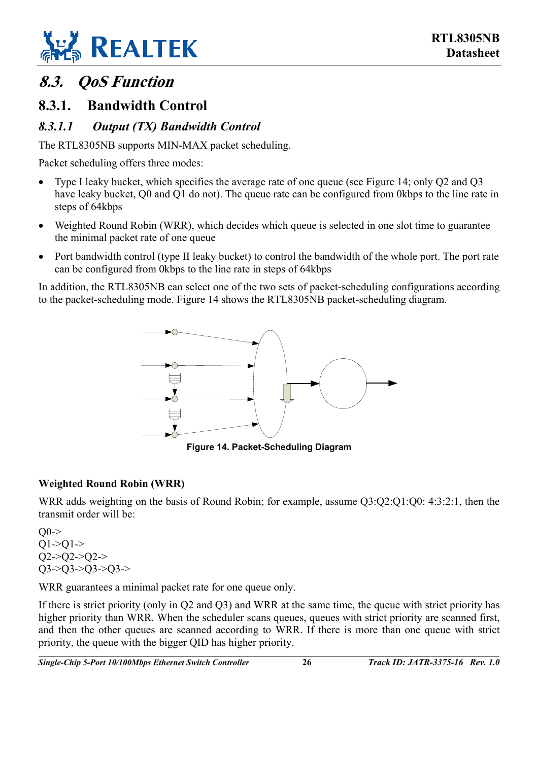

## <span id="page-31-0"></span>**8.3. QoS Function**

### <span id="page-31-1"></span>**8.3.1. Bandwidth Control**

#### <span id="page-31-2"></span>*8.3.1.1 Output (TX) Bandwidth Control*

The RTL8305NB supports MIN-MAX packet scheduling.

Packet scheduling offers three modes:

- Type I leaky bucket, which specifies the average rate of one queue (see [Figure 14;](#page-31-3) only Q2 and Q3 have leaky bucket, O0 and O1 do not). The queue rate can be configured from 0kbps to the line rate in steps of 64kbps
- Weighted Round Robin (WRR), which decides which queue is selected in one slot time to guarantee the minimal packet rate of one queue
- Port bandwidth control (type II leaky bucket) to control the bandwidth of the whole port. The port rate can be configured from 0kbps to the line rate in steps of 64kbps

In addition, the RTL8305NB can select one of the two sets of packet-scheduling configurations according to the packet-scheduling mode. [Figure 14](#page-31-3) shows the RTL8305NB packet-scheduling diagram.

<span id="page-31-3"></span>

**Figure 14. Packet-Scheduling Diagram** 

#### **Weighted Round Robin (WRR)**

WRR adds weighting on the basis of Round Robin; for example, assume O3:O2:O1:O0: 4:3:2:1, then the transmit order will be:

 $O(0 Q1 > Q1 >$  $Q2 > Q2 > Q2 >$  $Q3 > Q3 > Q3 > Q3$ 

WRR guarantees a minimal packet rate for one queue only.

If there is strict priority (only in Q2 and Q3) and WRR at the same time, the queue with strict priority has higher priority than WRR. When the scheduler scans queues, queues with strict priority are scanned first, and then the other queues are scanned according to WRR. If there is more than one queue with strict priority, the queue with the bigger QID has higher priority.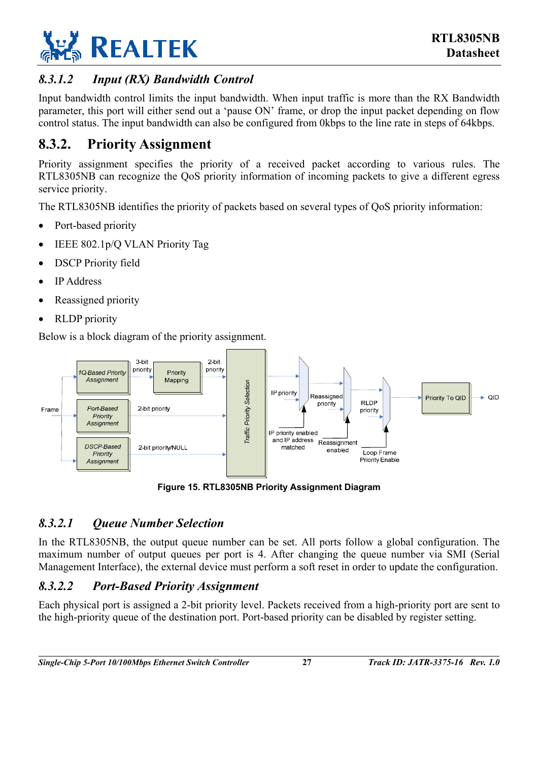

#### <span id="page-32-0"></span>*8.3.1.2 Input (RX) Bandwidth Control*

Input bandwidth control limits the input bandwidth. When input traffic is more than the RX Bandwidth parameter, this port will either send out a 'pause ON' frame, or drop the input packet depending on flow control status. The input bandwidth can also be configured from 0kbps to the line rate in steps of 64kbps.

### <span id="page-32-1"></span>**8.3.2. Priority Assignment**

Priority assignment specifies the priority of a received packet according to various rules. The RTL8305NB can recognize the QoS priority information of incoming packets to give a different egress service priority.

The RTL8305NB identifies the priority of packets based on several types of QoS priority information:

- Port-based priority
- IEEE 802.1p/Q VLAN Priority Tag
- DSCP Priority field
- IP Address
- Reassigned priority
- RLDP priority

Below is a block diagram of the priority assignment.

<span id="page-32-4"></span>

**Figure 15. RTL8305NB Priority Assignment Diagram** 

#### <span id="page-32-2"></span>*8.3.2.1 Queue Number Selection*

In the RTL8305NB, the output queue number can be set. All ports follow a global configuration. The maximum number of output queues per port is 4. After changing the queue number via SMI (Serial Management Interface), the external device must perform a soft reset in order to update the configuration.

#### <span id="page-32-3"></span>*8.3.2.2 Port-Based Priority Assignment*

Each physical port is assigned a 2-bit priority level. Packets received from a high-priority port are sent to the high-priority queue of the destination port. Port-based priority can be disabled by register setting.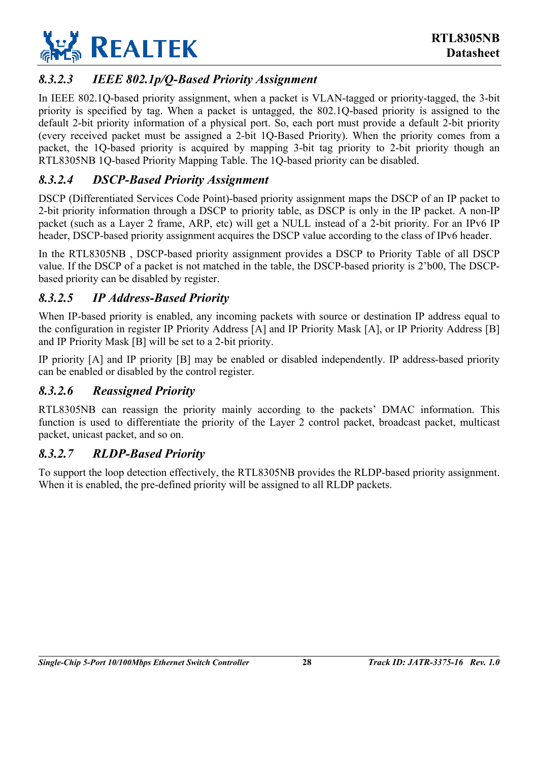

#### <span id="page-33-0"></span>*8.3.2.3 IEEE 802.1p/Q-Based Priority Assignment*

In IEEE 802.1Q-based priority assignment, when a packet is VLAN-tagged or priority-tagged, the 3-bit priority is specified by tag. When a packet is untagged, the 802.1Q-based priority is assigned to the default 2-bit priority information of a physical port. So, each port must provide a default 2-bit priority (every received packet must be assigned a 2-bit 1Q-Based Priority). When the priority comes from a packet, the 1Q-based priority is acquired by mapping 3-bit tag priority to 2-bit priority though an RTL8305NB 1Q-based Priority Mapping Table. The 1Q-based priority can be disabled.

#### <span id="page-33-1"></span>*8.3.2.4 DSCP-Based Priority Assignment*

DSCP (Differentiated Services Code Point)-based priority assignment maps the DSCP of an IP packet to 2-bit priority information through a DSCP to priority table, as DSCP is only in the IP packet. A non-IP packet (such as a Layer 2 frame, ARP, etc) will get a NULL instead of a 2-bit priority. For an IPv6 IP header, DSCP-based priority assignment acquires the DSCP value according to the class of IPv6 header.

In the RTL8305NB , DSCP-based priority assignment provides a DSCP to Priority Table of all DSCP value. If the DSCP of a packet is not matched in the table, the DSCP-based priority is 2'b00, The DSCPbased priority can be disabled by register.

#### <span id="page-33-2"></span>*8.3.2.5 IP Address-Based Priority*

When IP-based priority is enabled, any incoming packets with source or destination IP address equal to the configuration in register IP Priority Address [A] and IP Priority Mask [A], or IP Priority Address [B] and IP Priority Mask [B] will be set to a 2-bit priority.

IP priority [A] and IP priority [B] may be enabled or disabled independently. IP address-based priority can be enabled or disabled by the control register.

#### <span id="page-33-3"></span>*8.3.2.6 Reassigned Priority*

RTL8305NB can reassign the priority mainly according to the packets' DMAC information. This function is used to differentiate the priority of the Layer 2 control packet, broadcast packet, multicast packet, unicast packet, and so on.

#### <span id="page-33-4"></span>*8.3.2.7 RLDP-Based Priority*

To support the loop detection effectively, the RTL8305NB provides the RLDP-based priority assignment. When it is enabled, the pre-defined priority will be assigned to all RLDP packets.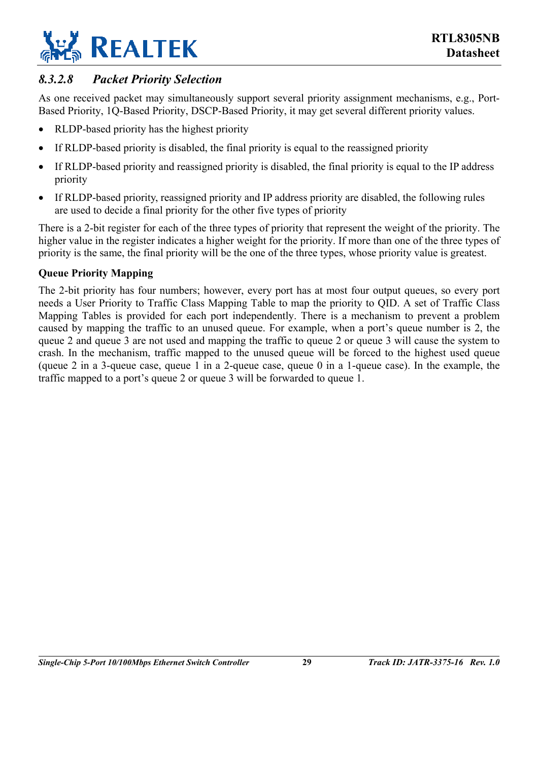

#### <span id="page-34-0"></span>*8.3.2.8 Packet Priority Selection*

As one received packet may simultaneously support several priority assignment mechanisms, e.g., Port-Based Priority, 1Q-Based Priority, DSCP-Based Priority, it may get several different priority values.

- RLDP-based priority has the highest priority
- If RLDP-based priority is disabled, the final priority is equal to the reassigned priority
- If RLDP-based priority and reassigned priority is disabled, the final priority is equal to the IP address priority
- If RLDP-based priority, reassigned priority and IP address priority are disabled, the following rules are used to decide a final priority for the other five types of priority

There is a 2-bit register for each of the three types of priority that represent the weight of the priority. The higher value in the register indicates a higher weight for the priority. If more than one of the three types of priority is the same, the final priority will be the one of the three types, whose priority value is greatest.

#### **Queue Priority Mapping**

The 2-bit priority has four numbers; however, every port has at most four output queues, so every port needs a User Priority to Traffic Class Mapping Table to map the priority to QID. A set of Traffic Class Mapping Tables is provided for each port independently. There is a mechanism to prevent a problem caused by mapping the traffic to an unused queue. For example, when a port's queue number is 2, the queue 2 and queue 3 are not used and mapping the traffic to queue 2 or queue 3 will cause the system to crash. In the mechanism, traffic mapped to the unused queue will be forced to the highest used queue (queue 2 in a 3-queue case, queue 1 in a 2-queue case, queue 0 in a 1-queue case). In the example, the traffic mapped to a port's queue 2 or queue 3 will be forwarded to queue 1.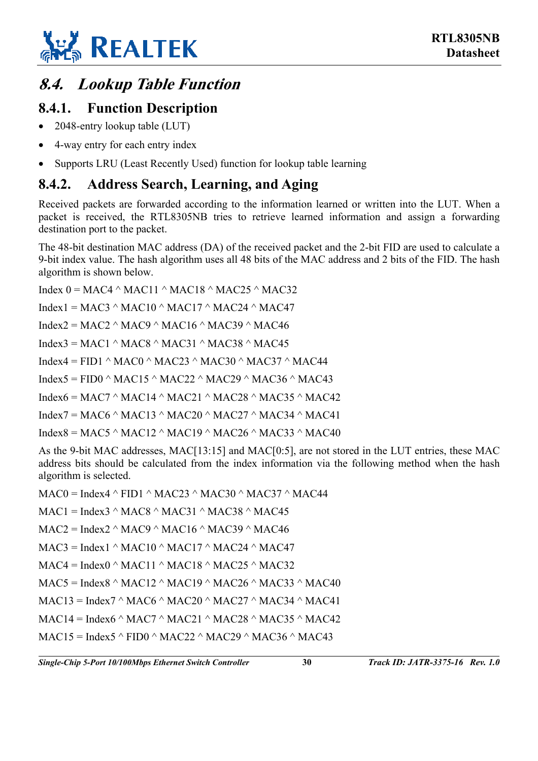

## <span id="page-35-0"></span>**8.4. Lookup Table Function**

### <span id="page-35-1"></span>**8.4.1. Function Description**

- 2048-entry lookup table (LUT)
- 4-way entry for each entry index
- Supports LRU (Least Recently Used) function for lookup table learning

### <span id="page-35-2"></span>**8.4.2. Address Search, Learning, and Aging**

Received packets are forwarded according to the information learned or written into the LUT. When a packet is received, the RTL8305NB tries to retrieve learned information and assign a forwarding destination port to the packet.

The 48-bit destination MAC address (DA) of the received packet and the 2-bit FID are used to calculate a 9-bit index value. The hash algorithm uses all 48 bits of the MAC address and 2 bits of the FID. The hash algorithm is shown below.

Index  $0 = MAC4 \land MAC11 \land MAC18 \land MAC25 \land MAC32$ Index1 = MAC3  $\land$  MAC10  $\land$  MAC17  $\land$  MAC24  $\land$  MAC47 Index2 = MAC2  $\land$  MAC9  $\land$  MAC16  $\land$  MAC39  $\land$  MAC46 Index3 = MAC1  $\land$  MAC8  $\land$  MAC31  $\land$  MAC38  $\land$  MAC45 Index4 = FID1  $\land$  MAC0  $\land$  MAC23  $\land$  MAC30  $\land$  MAC37  $\land$  MAC44 Index5 = FID0  $\land$  MAC15  $\land$  MAC22  $\land$  MAC29  $\land$  MAC36  $\land$  MAC43 Index6 = MAC7  $\land$  MAC14  $\land$  MAC21  $\land$  MAC28  $\land$  MAC35  $\land$  MAC42 Index7 = MAC6  $\land$  MAC13  $\land$  MAC20  $\land$  MAC27  $\land$  MAC34  $\land$  MAC41 Index8 = MAC5  $\land$  MAC12  $\land$  MAC19  $\land$  MAC26  $\land$  MAC33  $\land$  MAC40

As the 9-bit MAC addresses, MAC[13:15] and MAC[0:5], are not stored in the LUT entries, these MAC address bits should be calculated from the index information via the following method when the hash algorithm is selected.

 $MAC0 = Index4 \land FID1 \land MAC23 \land MAC30 \land MAC37 \land MAC44$  $MAC1 = Index3^{\wedge} MAC8^{\wedge} MAC31^{\wedge} MAC38^{\wedge} MAC45$  $MAC2 = Index2^{\wedge} MAC9^{\wedge} MAC16^{\wedge} MAC39^{\wedge} MAC46^{\wedge}$  $MAC3 = Index1 ^ \wedge MAC10 ^ \wedge MAC17 ^ \wedge MAC24 ^ \wedge MAC47$  $MAC4 = Index0^\wedge MAC11^\wedge MAC18^\wedge MAC25^\wedge MAC32$  $MAC5 = Index8 \land MAC12 \land MAC19 \land MAC26 \land MAC33 \land MAC40$  $MAC13 = Index7 \land MAC6 \land MAC20 \land MAC27 \land MAC34 \land MAC41$  $MAC14 = Index6 \land MAC7 \land MAC21 \land MAC28 \land MAC35 \land MAC42$  $MAC15 = Index5^{\wedge} FIDO^{\wedge} MAC22^{\wedge} MAC29^{\wedge} MAC36^{\wedge} MAC43$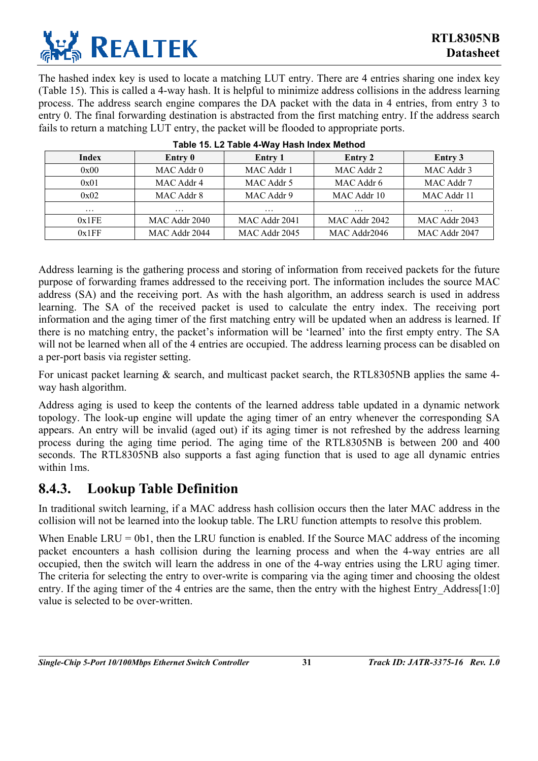

The hashed index key is used to locate a matching LUT entry. There are 4 entries sharing one index key ([Table 15\)](#page-36-1). This is called a 4-way hash. It is helpful to minimize address collisions in the address learning process. The address search engine compares the DA packet with the data in 4 entries, from entry 3 to entry 0. The final forwarding destination is abstracted from the first matching entry. If the address search fails to return a matching LUT entry, the packet will be flooded to appropriate ports.

| Index    | Entry 0       | Entry 1       | Entry 2       | Entry 3       |
|----------|---------------|---------------|---------------|---------------|
| 0x00     | MAC Addr 0    | MAC Addr 1    | MAC Addr 2    | MAC Addr 3    |
| 0x01     | MAC Addr 4    | MAC Addr 5    | MAC Addr 6    | MAC Addr 7    |
| 0x02     | MAC Addr 8    | MAC Addr 9    | MAC Addr 10   | MAC Addr 11   |
| $\cdots$ | $\cdots$      | $\cdots$      | $\cdots$      | $\cdots$      |
| 0x1FE    | MAC Addr 2040 | MAC Addr 2041 | MAC Addr 2042 | MAC Addr 2043 |
| 0x1FF    | MAC Addr 2044 | MAC Addr 2045 | MAC Addr2046  | MAC Addr 2047 |

<span id="page-36-1"></span>

|  |  |  | Table 15. L2 Table 4-Way Hash Index Method |
|--|--|--|--------------------------------------------|
|  |  |  |                                            |

Address learning is the gathering process and storing of information from received packets for the future purpose of forwarding frames addressed to the receiving port. The information includes the source MAC address (SA) and the receiving port. As with the hash algorithm, an address search is used in address learning. The SA of the received packet is used to calculate the entry index. The receiving port information and the aging timer of the first matching entry will be updated when an address is learned. If there is no matching entry, the packet's information will be 'learned' into the first empty entry. The SA will not be learned when all of the 4 entries are occupied. The address learning process can be disabled on a per-port basis via register setting.

For unicast packet learning & search, and multicast packet search, the RTL8305NB applies the same 4way hash algorithm.

Address aging is used to keep the contents of the learned address table updated in a dynamic network topology. The look-up engine will update the aging timer of an entry whenever the corresponding SA appears. An entry will be invalid (aged out) if its aging timer is not refreshed by the address learning process during the aging time period. The aging time of the RTL8305NB is between 200 and 400 seconds. The RTL8305NB also supports a fast aging function that is used to age all dynamic entries within 1ms.

### <span id="page-36-0"></span>**8.4.3. Lookup Table Definition**

In traditional switch learning, if a MAC address hash collision occurs then the later MAC address in the collision will not be learned into the lookup table. The LRU function attempts to resolve this problem.

When Enable LRU = 0b1, then the LRU function is enabled. If the Source MAC address of the incoming packet encounters a hash collision during the learning process and when the 4-way entries are all occupied, then the switch will learn the address in one of the 4-way entries using the LRU aging timer. The criteria for selecting the entry to over-write is comparing via the aging timer and choosing the oldest entry. If the aging timer of the 4 entries are the same, then the entry with the highest Entry Address[1:0] value is selected to be over-written.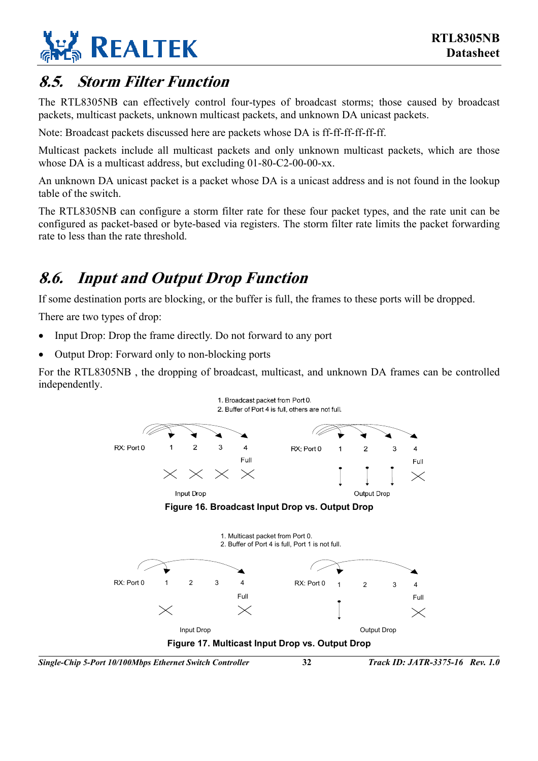

## <span id="page-37-0"></span>**8.5. Storm Filter Function**

The RTL8305NB can effectively control four-types of broadcast storms; those caused by broadcast packets, multicast packets, unknown multicast packets, and unknown DA unicast packets.

Note: Broadcast packets discussed here are packets whose DA is ff-ff-ff-ff-ff-ff.

Multicast packets include all multicast packets and only unknown multicast packets, which are those whose DA is a multicast address, but excluding 01-80-C2-00-00-xx.

An unknown DA unicast packet is a packet whose DA is a unicast address and is not found in the lookup table of the switch.

The RTL8305NB can configure a storm filter rate for these four packet types, and the rate unit can be configured as packet-based or byte-based via registers. The storm filter rate limits the packet forwarding rate to less than the rate threshold.

## <span id="page-37-1"></span>**8.6. Input and Output Drop Function**

If some destination ports are blocking, or the buffer is full, the frames to these ports will be dropped.

There are two types of drop:

- Input Drop: Drop the frame directly. Do not forward to any port
- Output Drop: Forward only to non-blocking ports

For the RTL8305NB , the dropping of broadcast, multicast, and unknown DA frames can be controlled independently.

<span id="page-37-3"></span><span id="page-37-2"></span>

*Single-Chip 5-Port 10/100Mbps Ethernet Switch Controller* **32** *Track ID: JATR-3375-16 Rev. 1.0*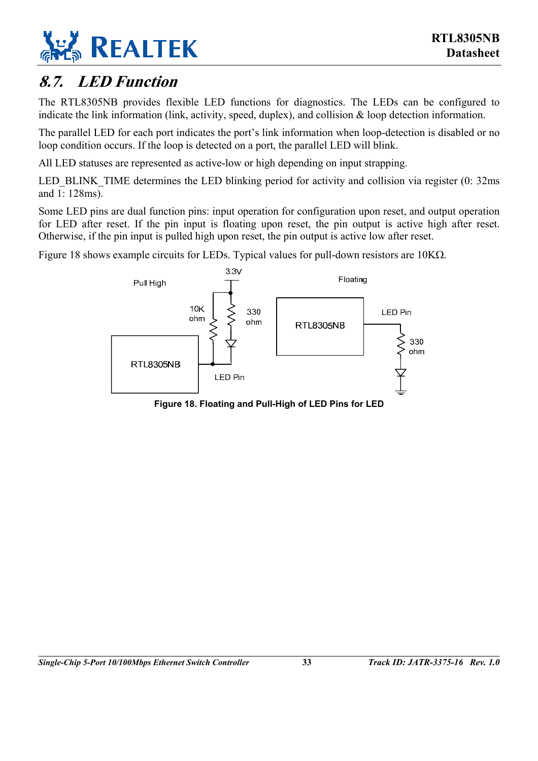

## <span id="page-38-0"></span>**8.7. LED Function**

The RTL8305NB provides flexible LED functions for diagnostics. The LEDs can be configured to indicate the link information (link, activity, speed, duplex), and collision & loop detection information.

The parallel LED for each port indicates the port's link information when loop-detection is disabled or no loop condition occurs. If the loop is detected on a port, the parallel LED will blink.

All LED statuses are represented as active-low or high depending on input strapping.

LED BLINK TIME determines the LED blinking period for activity and collision via register (0: 32ms) and 1: 128ms).

Some LED pins are dual function pins: input operation for configuration upon reset, and output operation for LED after reset. If the pin input is floating upon reset, the pin output is active high after reset. Otherwise, if the pin input is pulled high upon reset, the pin output is active low after reset.

[Figure 18](#page-38-1) shows example circuits for LEDs. Typical values for pull-down resistors are 10KΩ.

<span id="page-38-1"></span>

**Figure 18. Floating and Pull-High of LED Pins for LED**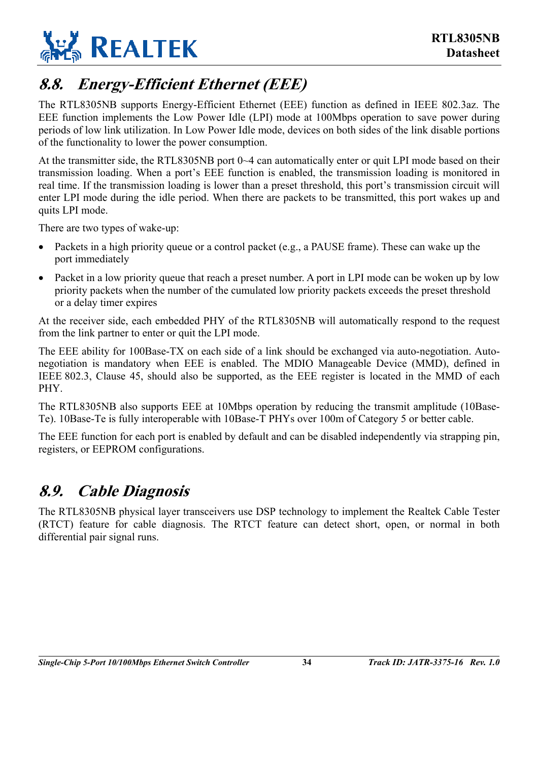

## <span id="page-39-0"></span>**8.8. Energy-Efficient Ethernet (EEE)**

The RTL8305NB supports Energy-Efficient Ethernet (EEE) function as defined in IEEE 802.3az. The EEE function implements the Low Power Idle (LPI) mode at 100Mbps operation to save power during periods of low link utilization. In Low Power Idle mode, devices on both sides of the link disable portions of the functionality to lower the power consumption.

At the transmitter side, the RTL8305NB port 0~4 can automatically enter or quit LPI mode based on their transmission loading. When a port's EEE function is enabled, the transmission loading is monitored in real time. If the transmission loading is lower than a preset threshold, this port's transmission circuit will enter LPI mode during the idle period. When there are packets to be transmitted, this port wakes up and quits LPI mode.

There are two types of wake-up:

- Packets in a high priority queue or a control packet (e.g., a PAUSE frame). These can wake up the port immediately
- Packet in a low priority queue that reach a preset number. A port in LPI mode can be woken up by low priority packets when the number of the cumulated low priority packets exceeds the preset threshold or a delay timer expires

At the receiver side, each embedded PHY of the RTL8305NB will automatically respond to the request from the link partner to enter or quit the LPI mode.

The EEE ability for 100Base-TX on each side of a link should be exchanged via auto-negotiation. Autonegotiation is mandatory when EEE is enabled. The MDIO Manageable Device (MMD), defined in IEEE 802.3, Clause 45, should also be supported, as the EEE register is located in the MMD of each PHY.

The RTL8305NB also supports EEE at 10Mbps operation by reducing the transmit amplitude (10Base-Te). 10Base-Te is fully interoperable with 10Base-T PHYs over 100m of Category 5 or better cable.

The EEE function for each port is enabled by default and can be disabled independently via strapping pin, registers, or EEPROM configurations.

## <span id="page-39-1"></span>**8.9. Cable Diagnosis**

The RTL8305NB physical layer transceivers use DSP technology to implement the Realtek Cable Tester (RTCT) feature for cable diagnosis. The RTCT feature can detect short, open, or normal in both differential pair signal runs.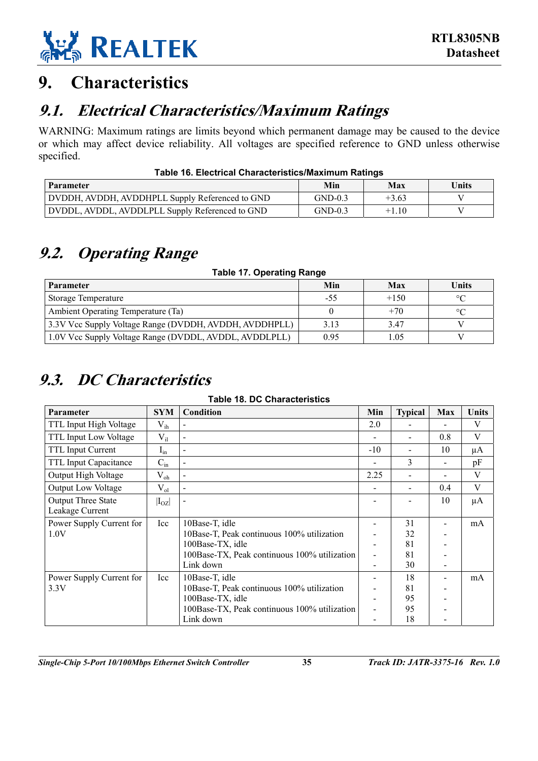

## <span id="page-40-0"></span>**9. Characteristics**

## <span id="page-40-1"></span>**9.1. Electrical Characteristics/Maximum Ratings**

WARNING: Maximum ratings are limits beyond which permanent damage may be caused to the device or which may affect device reliability. All voltages are specified reference to GND unless otherwise specified.

| Table To. Electrical Unaracteristics/Maximum Ratings |           |         |       |  |  |
|------------------------------------------------------|-----------|---------|-------|--|--|
| Parameter                                            | Min       | Max     | Units |  |  |
| DVDDH, AVDDH, AVDDHPLL Supply Referenced to GND      | $GND-0.3$ | $+3.63$ |       |  |  |
| DVDDL, AVDDL, AVDDLPLL Supply Referenced to GND      | $GND-0.3$ | $+1.10$ |       |  |  |

#### <span id="page-40-4"></span>**Table 16. Electrical Characteristics/Maximum Ratings**

## <span id="page-40-2"></span>**9.2. Operating Range**

<span id="page-40-5"></span>**Table 17. Operating Range** 

| Parameter                                              | Min  | Max    | Units   |
|--------------------------------------------------------|------|--------|---------|
| Storage Temperature                                    | -55  | $+150$ | $\circ$ |
| Ambient Operating Temperature (Ta)                     |      | $+70$  | $\circ$ |
| 3.3V Vcc Supply Voltage Range (DVDDH, AVDDH, AVDDHPLL) | 3.13 | 3.47   |         |
| 1.0V Vcc Supply Voltage Range (DVDDL, AVDDL, AVDDLPLL) | 0.95 | 1.05   |         |

## <span id="page-40-3"></span>**9.3. DC Characteristics**

<span id="page-40-6"></span>**Table 18. DC Characteristics** 

| Parameter                    | <b>SYM</b> | Condition                                    | Min   | <b>Typical</b> | Max | Units   |
|------------------------------|------------|----------------------------------------------|-------|----------------|-----|---------|
| TTL Input High Voltage       | $V_{ih}$   |                                              | 2.0   |                |     | V       |
| <b>TTL Input Low Voltage</b> | $V_{il}$   |                                              |       |                | 0.8 | V       |
| <b>TTL Input Current</b>     | $I_{in}$   |                                              | $-10$ |                | 10  | μA      |
| TTL Input Capacitance        | $C_{in}$   | $\blacksquare$                               |       | 3              |     | pF      |
| Output High Voltage          | $V_{oh}$   | $\overline{a}$                               | 2.25  |                |     | V       |
| <b>Output Low Voltage</b>    | $V_{ol}$   | $\blacksquare$                               |       |                | 0.4 | V       |
| <b>Output Three State</b>    | $ I_{OZ} $ |                                              |       |                | 10  | $\mu A$ |
| Leakage Current              |            |                                              |       |                |     |         |
| Power Supply Current for     | Icc        | 10Base-T, idle                               |       | 31             |     | mA      |
| 1.0V                         |            | 10Base-T, Peak continuous 100% utilization   |       | 32             |     |         |
|                              |            | 100Base-TX, idle                             |       | 81             |     |         |
|                              |            | 100Base-TX, Peak continuous 100% utilization |       | 81             |     |         |
|                              |            | Link down                                    |       | 30             |     |         |
| Power Supply Current for     | Icc        | 10Base-T, idle                               |       | 18             |     | mA      |
| 3.3V                         |            | 10Base-T, Peak continuous 100% utilization   |       | 81             |     |         |
|                              |            | 100Base-TX, idle                             |       | 95             |     |         |
|                              |            | 100Base-TX, Peak continuous 100% utilization |       | 95             |     |         |
|                              |            | Link down                                    |       | 18             |     |         |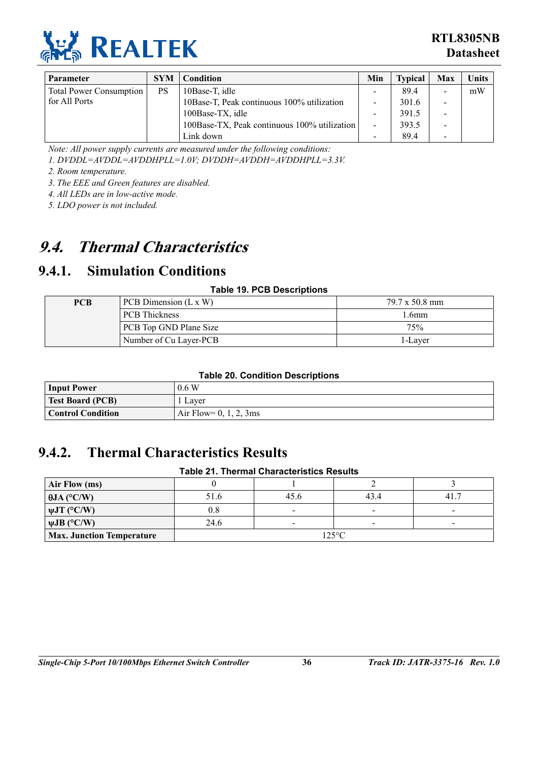

| <b>Parameter</b>               | <b>SYM</b> | Condition                                    | Min | <b>Typical</b> | Max                      | <b>Units</b> |
|--------------------------------|------------|----------------------------------------------|-----|----------------|--------------------------|--------------|
| <b>Total Power Consumption</b> | <b>PS</b>  | 10Base-T, idle                               |     | 89.4           | $\,$                     | mW           |
| for All Ports                  |            | 10Base-T, Peak continuous 100% utilization   |     | 301.6          | $\qquad \qquad$          |              |
|                                |            | 100Base-TX, idle                             | -   | 391.5          | $\overline{\phantom{0}}$ |              |
|                                |            | 100Base-TX, Peak continuous 100% utilization | ٠.  | 393.5          | $\overline{\phantom{a}}$ |              |
|                                |            | Link down                                    |     | 89.4           | $\,$                     |              |

*Note: All power supply currents are measured under the following conditions:* 

*1. DVDDL=AVDDL=AVDDHPLL=1.0V; DVDDH=AVDDH=AVDDHPLL=3.3V.* 

*2. Room temperature.* 

*3. The EEE and Green features are disabled.* 

*4. All LEDs are in low-active mode.* 

*5. LDO power is not included.* 

## <span id="page-41-0"></span>**9.4. Thermal Characteristics**

### <span id="page-41-1"></span>**9.4.1. Simulation Conditions**

#### <span id="page-41-3"></span>**Table 19. PCB Descriptions**

| <b>PCB</b> | PCB Dimension $(L \times W)$ | 79.7 x 50.8 mm |
|------------|------------------------------|----------------|
|            | <b>PCB</b> Thickness         | 1.6mm          |
|            | PCB Top GND Plane Size       | 75%            |
|            | Number of Cu Layer-PCB       | 1-Layer        |

#### <span id="page-41-4"></span>**Table 20. Condition Descriptions**

| <b>Input Power</b>      | 0.6 W                     |
|-------------------------|---------------------------|
| <b>Test Board (PCB)</b> | Laver                     |
| Control Condition       | Air Flow= $0, 1, 2, 3$ ms |

### <span id="page-41-2"></span>**9.4.2. Thermal Characteristics Results**

#### <span id="page-41-5"></span>**Table 21. Thermal Characteristics Results**

| Air Flow (ms)                    |                 |                          |        |      |
|----------------------------------|-----------------|--------------------------|--------|------|
| $\theta$ JA (°C/W)               | 51.6            | 45.6                     | 43.4   | 41.7 |
| $\psi$ JT (°C/W)                 | 0.8             | $\,$                     |        |      |
| $\psi$ JB (°C/W)                 | 24.6            | $\overline{\phantom{0}}$ | $\sim$ |      |
| <b>Max. Junction Temperature</b> | $125^{\circ}$ C |                          |        |      |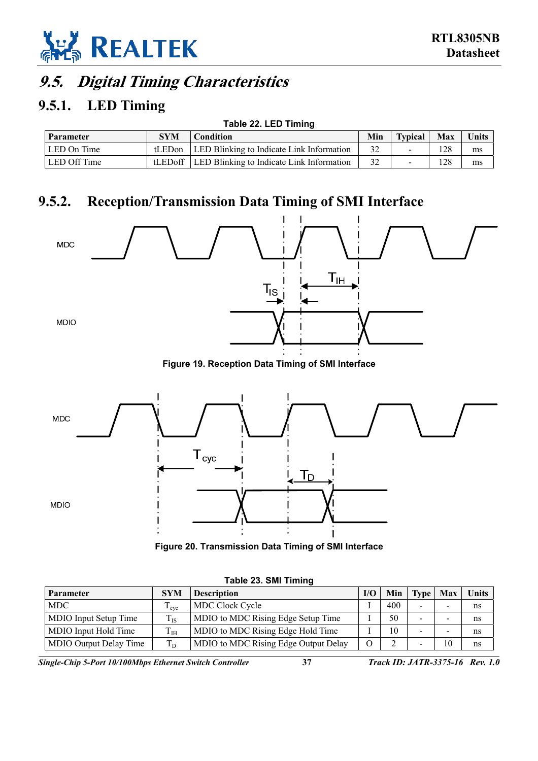

## <span id="page-42-0"></span>**9.5. Digital Timing Characteristics**

### <span id="page-42-1"></span>**9.5.1. LED Timing**

<span id="page-42-3"></span>

| Table 22. LED Timing |            |                                                     |    |  |     |              |
|----------------------|------------|-----------------------------------------------------|----|--|-----|--------------|
| Parameter            | <b>SYM</b> | Min<br>Max<br><b>Typical</b><br><b>Condition</b>    |    |  |     | <b>Units</b> |
| LED On Time          |            | tLED on   LED Blinking to Indicate Link Information | 32 |  | 128 | ms           |
| LED Off Time         |            | tLED off LED Blinking to Indicate Link Information  | 32 |  | 128 | ms           |

### **9.5.2. Reception/Transmission Data Timing of SMI Interface**

<span id="page-42-5"></span><span id="page-42-2"></span>

<span id="page-42-6"></span>

| Figure 20. Transmission Data Timing of SMI Interface |  |  |
|------------------------------------------------------|--|--|
|                                                      |  |  |

| Parameter              | <b>SYM</b>       | <b>Description</b>                   | I/O      | Min | <b>Type</b>                                                                                                                                       | Max                      | <b>Units</b> |
|------------------------|------------------|--------------------------------------|----------|-----|---------------------------------------------------------------------------------------------------------------------------------------------------|--------------------------|--------------|
| <b>MDC</b>             | <sup>L</sup> eve | <b>MDC Clock Cycle</b>               |          | 400 | $\overline{\phantom{0}}$                                                                                                                          |                          | ns           |
| MDIO Input Setup Time  | $T_{IS}$         | MDIO to MDC Rising Edge Setup Time   |          | 50  | $\hskip1.6pt\hskip1.6pt\hskip1.6pt\hskip1.6pt\hskip1.6pt\hskip1.6pt\hskip1.6pt\hskip1.6pt\hskip1.6pt\hskip1.6pt\hskip1.6pt\hskip1.6pt\hskip1.6pt$ |                          | ns           |
| MDIO Input Hold Time   | $T_{\rm IH}$     | MDIO to MDC Rising Edge Hold Time    |          | 10  | $\hskip1.6pt\hskip1.6pt\hskip1.6pt\hskip1.6pt\hskip1.6pt\hskip1.6pt\hskip1.6pt\hskip1.6pt\hskip1.6pt\hskip1.6pt\hskip1.6pt\hskip1.6pt\hskip1.6pt$ | $\overline{\phantom{0}}$ | ns           |
| MDIO Output Delay Time | T <sub>D</sub>   | MDIO to MDC Rising Edge Output Delay | $\Omega$ |     | $\hskip1.6pt\hskip1.6pt\hskip1.6pt\hskip1.6pt\hskip1.6pt\hskip1.6pt\hskip1.6pt\hskip1.6pt\hskip1.6pt\hskip1.6pt\hskip1.6pt\hskip1.6pt\hskip1.6pt$ | 10                       | ns           |

<span id="page-42-4"></span>**Table 23. SMI Timing** 

*Single-Chip 5-Port 10/100Mbps Ethernet Switch Controller* **37** *Track ID: JATR-3375-16 Rev. 1.0*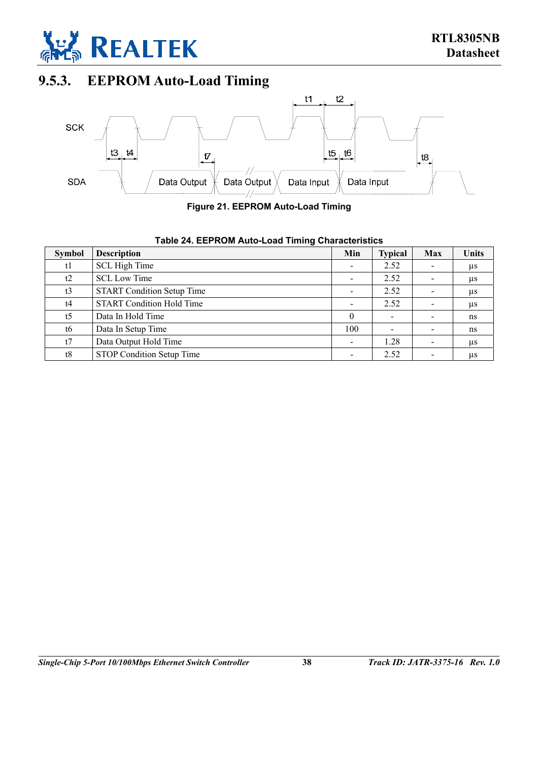

## **9.5.3. EEPROM Auto-Load Timing**

<span id="page-43-0"></span>

<span id="page-43-2"></span>**Figure 21. EEPROM Auto-Load Timing** 

<span id="page-43-1"></span>

|  | Table 24. EEPROM Auto-Load Timing Characteristics |
|--|---------------------------------------------------|
|--|---------------------------------------------------|

| <b>Symbol</b>  | <b>Description</b>                | Min      | <b>Typical</b> | Max                      | <b>Units</b> |
|----------------|-----------------------------------|----------|----------------|--------------------------|--------------|
| t1             | SCL High Time                     |          | 2.52           | $\overline{\phantom{a}}$ | μs           |
| t2             | <b>SCL Low Time</b>               |          | 2.52           | $\overline{\phantom{a}}$ | $\mu$ s      |
| t3             | <b>START Condition Setup Time</b> |          | 2.52           |                          | $\mu$ s      |
| t4             | <b>START Condition Hold Time</b>  |          | 2.52           |                          | $\mu$ s      |
| t <sub>5</sub> | Data In Hold Time                 | $\theta$ |                | $\overline{\phantom{a}}$ | ns           |
| t6             | Data In Setup Time                | 100      |                | $\overline{\phantom{a}}$ | ns           |
| t7             | Data Output Hold Time             |          | 1.28           | $\overline{\phantom{a}}$ | $\mu$ s      |
| t8             | STOP Condition Setup Time         |          | 2.52           | $\overline{\phantom{a}}$ | μs           |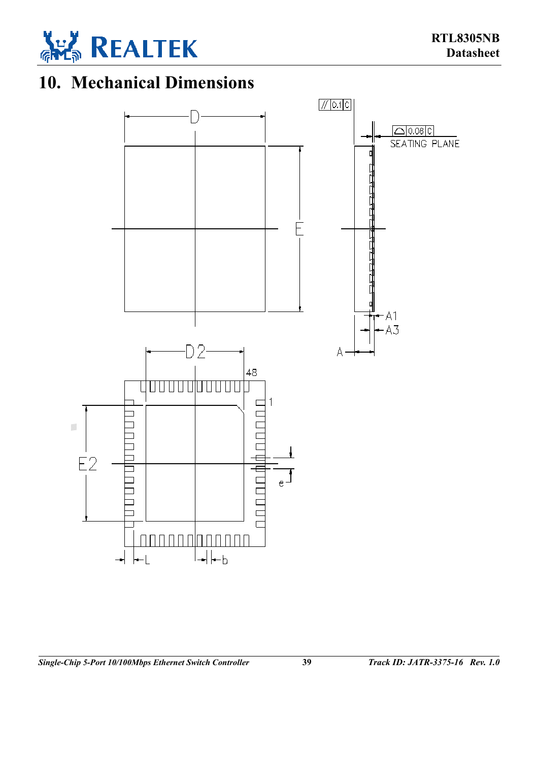

# **10. Mechanical Dimensions**

<span id="page-44-0"></span>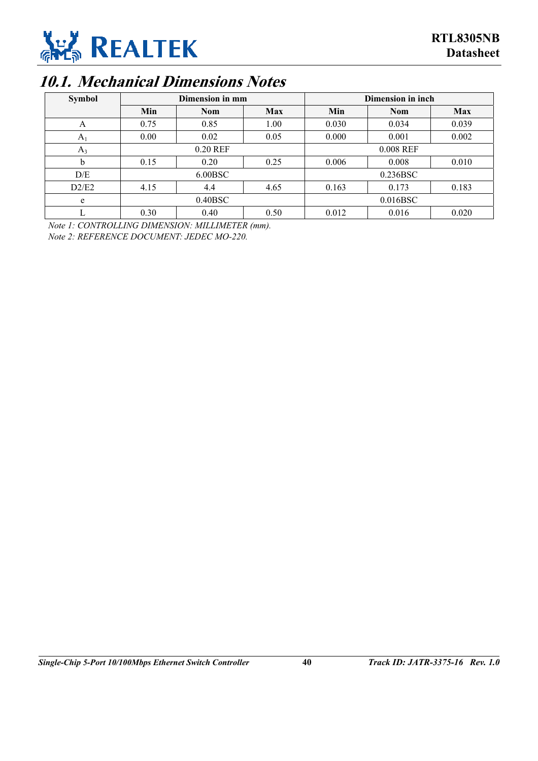

## **10.1. Mechanical Dimensions Notes**

<span id="page-45-0"></span>

| <b>Symbol</b> | Dimension in mm |            |            | Dimension in inch |            |            |  |
|---------------|-----------------|------------|------------|-------------------|------------|------------|--|
|               | Min             | <b>Nom</b> | <b>Max</b> | Min               | <b>Nom</b> | <b>Max</b> |  |
| A             | 0.75            | 0.85       | 1.00       | 0.030             | 0.034      | 0.039      |  |
| $A_1$         | 0.00            | 0.02       | 0.05       | 0.000             | 0.001      | 0.002      |  |
| $A_3$         | 0.20 REF        |            |            | 0.008 REF         |            |            |  |
| $\mathbf b$   | 0.15            | 0.20       | 0.25       | 0.006             | 0.008      | 0.010      |  |
| D/E           | 6.00BSC         |            |            | 0.236BSC          |            |            |  |
| D2/E2         | 4.15            | 4.4        | 4.65       | 0.163             | 0.173      | 0.183      |  |
| e             | 0.40BSC         |            |            | 0.016BSC          |            |            |  |
| L             | 0.30            | 0.40       | 0.50       | 0.012             | 0.016      | 0.020      |  |

*Note 1: CONTROLLING DIMENSION: MILLIMETER (mm).* 

*Note 2: REFERENCE DOCUMENT: JEDEC MO-220.*